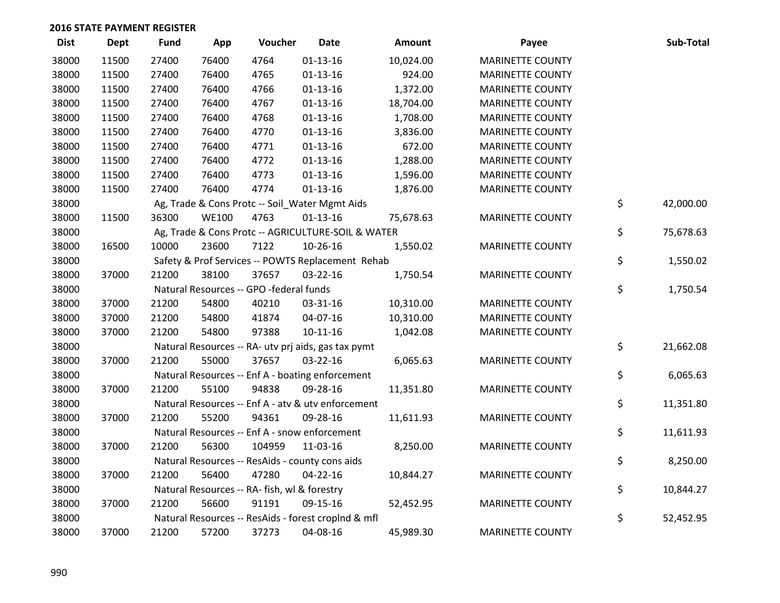| <b>Dist</b> | <b>Dept</b> | <b>Fund</b> | App          | Voucher                                             | <b>Date</b>    | <b>Amount</b> | Payee                   | Sub-Total       |
|-------------|-------------|-------------|--------------|-----------------------------------------------------|----------------|---------------|-------------------------|-----------------|
| 38000       | 11500       | 27400       | 76400        | 4764                                                | $01 - 13 - 16$ | 10,024.00     | <b>MARINETTE COUNTY</b> |                 |
| 38000       | 11500       | 27400       | 76400        | 4765                                                | $01-13-16$     | 924.00        | <b>MARINETTE COUNTY</b> |                 |
| 38000       | 11500       | 27400       | 76400        | 4766                                                | $01 - 13 - 16$ | 1,372.00      | <b>MARINETTE COUNTY</b> |                 |
| 38000       | 11500       | 27400       | 76400        | 4767                                                | $01 - 13 - 16$ | 18,704.00     | <b>MARINETTE COUNTY</b> |                 |
| 38000       | 11500       | 27400       | 76400        | 4768                                                | $01 - 13 - 16$ | 1,708.00      | <b>MARINETTE COUNTY</b> |                 |
| 38000       | 11500       | 27400       | 76400        | 4770                                                | $01-13-16$     | 3,836.00      | <b>MARINETTE COUNTY</b> |                 |
| 38000       | 11500       | 27400       | 76400        | 4771                                                | $01 - 13 - 16$ | 672.00        | <b>MARINETTE COUNTY</b> |                 |
| 38000       | 11500       | 27400       | 76400        | 4772                                                | $01 - 13 - 16$ | 1,288.00      | <b>MARINETTE COUNTY</b> |                 |
| 38000       | 11500       | 27400       | 76400        | 4773                                                | $01 - 13 - 16$ | 1,596.00      | <b>MARINETTE COUNTY</b> |                 |
| 38000       | 11500       | 27400       | 76400        | 4774                                                | $01-13-16$     | 1,876.00      | <b>MARINETTE COUNTY</b> |                 |
| 38000       |             |             |              | Ag, Trade & Cons Protc -- Soil_Water Mgmt Aids      |                |               |                         | \$<br>42,000.00 |
| 38000       | 11500       | 36300       | <b>WE100</b> | 4763                                                | $01 - 13 - 16$ | 75,678.63     | <b>MARINETTE COUNTY</b> |                 |
| 38000       |             |             |              | Ag, Trade & Cons Protc -- AGRICULTURE-SOIL & WATER  |                |               |                         | \$<br>75,678.63 |
| 38000       | 16500       | 10000       | 23600        | 7122                                                | 10-26-16       | 1,550.02      | <b>MARINETTE COUNTY</b> |                 |
| 38000       |             |             |              | Safety & Prof Services -- POWTS Replacement Rehab   |                |               |                         | \$<br>1,550.02  |
| 38000       | 37000       | 21200       | 38100        | 37657                                               | 03-22-16       | 1,750.54      | <b>MARINETTE COUNTY</b> |                 |
| 38000       |             |             |              | Natural Resources -- GPO -federal funds             |                |               |                         | \$<br>1,750.54  |
| 38000       | 37000       | 21200       | 54800        | 40210                                               | 03-31-16       | 10,310.00     | <b>MARINETTE COUNTY</b> |                 |
| 38000       | 37000       | 21200       | 54800        | 41874                                               | 04-07-16       | 10,310.00     | <b>MARINETTE COUNTY</b> |                 |
| 38000       | 37000       | 21200       | 54800        | 97388                                               | $10-11-16$     | 1,042.08      | <b>MARINETTE COUNTY</b> |                 |
| 38000       |             |             |              | Natural Resources -- RA- utv prj aids, gas tax pymt |                |               |                         | \$<br>21,662.08 |
| 38000       | 37000       | 21200       | 55000        | 37657                                               | $03 - 22 - 16$ | 6,065.63      | MARINETTE COUNTY        |                 |
| 38000       |             |             |              | Natural Resources -- Enf A - boating enforcement    |                |               |                         | \$<br>6,065.63  |
| 38000       | 37000       | 21200       | 55100        | 94838                                               | 09-28-16       | 11,351.80     | <b>MARINETTE COUNTY</b> |                 |
| 38000       |             |             |              | Natural Resources -- Enf A - atv & utv enforcement  |                |               |                         | \$<br>11,351.80 |
| 38000       | 37000       | 21200       | 55200        | 94361                                               | 09-28-16       | 11,611.93     | <b>MARINETTE COUNTY</b> |                 |
| 38000       |             |             |              | Natural Resources -- Enf A - snow enforcement       |                |               |                         | \$<br>11,611.93 |
| 38000       | 37000       | 21200       | 56300        | 104959                                              | 11-03-16       | 8,250.00      | <b>MARINETTE COUNTY</b> |                 |
| 38000       |             |             |              | Natural Resources -- ResAids - county cons aids     |                |               |                         | \$<br>8,250.00  |
| 38000       | 37000       | 21200       | 56400        | 47280                                               | $04 - 22 - 16$ | 10,844.27     | <b>MARINETTE COUNTY</b> |                 |
| 38000       |             |             |              | Natural Resources -- RA- fish, wl & forestry        |                |               |                         | \$<br>10,844.27 |
| 38000       | 37000       | 21200       | 56600        | 91191                                               | 09-15-16       | 52,452.95     | <b>MARINETTE COUNTY</b> |                 |
| 38000       |             |             |              | Natural Resources -- ResAids - forest croplnd & mfl |                |               |                         | \$<br>52,452.95 |
| 38000       | 37000       | 21200       | 57200        | 37273                                               | 04-08-16       | 45,989.30     | <b>MARINETTE COUNTY</b> |                 |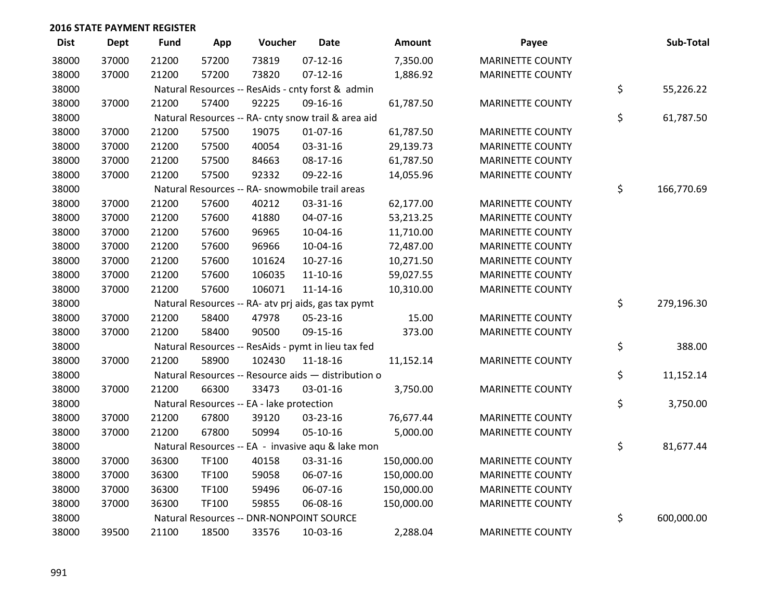| <b>Dist</b> | <b>Dept</b> | <b>Fund</b> | App   | Voucher                                             | <b>Date</b>    | Amount     | Payee                   | Sub-Total        |
|-------------|-------------|-------------|-------|-----------------------------------------------------|----------------|------------|-------------------------|------------------|
| 38000       | 37000       | 21200       | 57200 | 73819                                               | $07-12-16$     | 7,350.00   | <b>MARINETTE COUNTY</b> |                  |
| 38000       | 37000       | 21200       | 57200 | 73820                                               | $07-12-16$     | 1,886.92   | <b>MARINETTE COUNTY</b> |                  |
| 38000       |             |             |       | Natural Resources -- ResAids - cnty forst & admin   |                |            |                         | \$<br>55,226.22  |
| 38000       | 37000       | 21200       | 57400 | 92225                                               | 09-16-16       | 61,787.50  | <b>MARINETTE COUNTY</b> |                  |
| 38000       |             |             |       | Natural Resources -- RA- cnty snow trail & area aid |                |            |                         | \$<br>61,787.50  |
| 38000       | 37000       | 21200       | 57500 | 19075                                               | $01 - 07 - 16$ | 61,787.50  | <b>MARINETTE COUNTY</b> |                  |
| 38000       | 37000       | 21200       | 57500 | 40054                                               | 03-31-16       | 29,139.73  | <b>MARINETTE COUNTY</b> |                  |
| 38000       | 37000       | 21200       | 57500 | 84663                                               | 08-17-16       | 61,787.50  | <b>MARINETTE COUNTY</b> |                  |
| 38000       | 37000       | 21200       | 57500 | 92332                                               | 09-22-16       | 14,055.96  | <b>MARINETTE COUNTY</b> |                  |
| 38000       |             |             |       | Natural Resources -- RA- snowmobile trail areas     |                |            |                         | \$<br>166,770.69 |
| 38000       | 37000       | 21200       | 57600 | 40212                                               | 03-31-16       | 62,177.00  | <b>MARINETTE COUNTY</b> |                  |
| 38000       | 37000       | 21200       | 57600 | 41880                                               | 04-07-16       | 53,213.25  | <b>MARINETTE COUNTY</b> |                  |
| 38000       | 37000       | 21200       | 57600 | 96965                                               | 10-04-16       | 11,710.00  | <b>MARINETTE COUNTY</b> |                  |
| 38000       | 37000       | 21200       | 57600 | 96966                                               | 10-04-16       | 72,487.00  | <b>MARINETTE COUNTY</b> |                  |
| 38000       | 37000       | 21200       | 57600 | 101624                                              | $10-27-16$     | 10,271.50  | <b>MARINETTE COUNTY</b> |                  |
| 38000       | 37000       | 21200       | 57600 | 106035                                              | $11 - 10 - 16$ | 59,027.55  | <b>MARINETTE COUNTY</b> |                  |
| 38000       | 37000       | 21200       | 57600 | 106071                                              | $11 - 14 - 16$ | 10,310.00  | <b>MARINETTE COUNTY</b> |                  |
| 38000       |             |             |       | Natural Resources -- RA- atv prj aids, gas tax pymt |                |            |                         | \$<br>279,196.30 |
| 38000       | 37000       | 21200       | 58400 | 47978                                               | 05-23-16       | 15.00      | <b>MARINETTE COUNTY</b> |                  |
| 38000       | 37000       | 21200       | 58400 | 90500                                               | 09-15-16       | 373.00     | <b>MARINETTE COUNTY</b> |                  |
| 38000       |             |             |       | Natural Resources -- ResAids - pymt in lieu tax fed |                |            |                         | \$<br>388.00     |
| 38000       | 37000       | 21200       | 58900 | 102430                                              | 11-18-16       | 11,152.14  | <b>MARINETTE COUNTY</b> |                  |
| 38000       |             |             |       | Natural Resources -- Resource aids - distribution o |                |            |                         | \$<br>11,152.14  |
| 38000       | 37000       | 21200       | 66300 | 33473                                               | 03-01-16       | 3,750.00   | <b>MARINETTE COUNTY</b> |                  |
| 38000       |             |             |       | Natural Resources -- EA - lake protection           |                |            |                         | \$<br>3,750.00   |
| 38000       | 37000       | 21200       | 67800 | 39120                                               | 03-23-16       | 76,677.44  | <b>MARINETTE COUNTY</b> |                  |
| 38000       | 37000       | 21200       | 67800 | 50994                                               | 05-10-16       | 5,000.00   | <b>MARINETTE COUNTY</b> |                  |
| 38000       |             |             |       | Natural Resources -- EA - invasive aqu & lake mon   |                |            |                         | \$<br>81,677.44  |
| 38000       | 37000       | 36300       | TF100 | 40158                                               | 03-31-16       | 150,000.00 | <b>MARINETTE COUNTY</b> |                  |
| 38000       | 37000       | 36300       | TF100 | 59058                                               | 06-07-16       | 150,000.00 | <b>MARINETTE COUNTY</b> |                  |
| 38000       | 37000       | 36300       | TF100 | 59496                                               | 06-07-16       | 150,000.00 | <b>MARINETTE COUNTY</b> |                  |
| 38000       | 37000       | 36300       | TF100 | 59855                                               | 06-08-16       | 150,000.00 | <b>MARINETTE COUNTY</b> |                  |
| 38000       |             |             |       | Natural Resources -- DNR-NONPOINT SOURCE            |                |            |                         | \$<br>600,000.00 |
| 38000       | 39500       | 21100       | 18500 | 33576                                               | 10-03-16       | 2,288.04   | <b>MARINETTE COUNTY</b> |                  |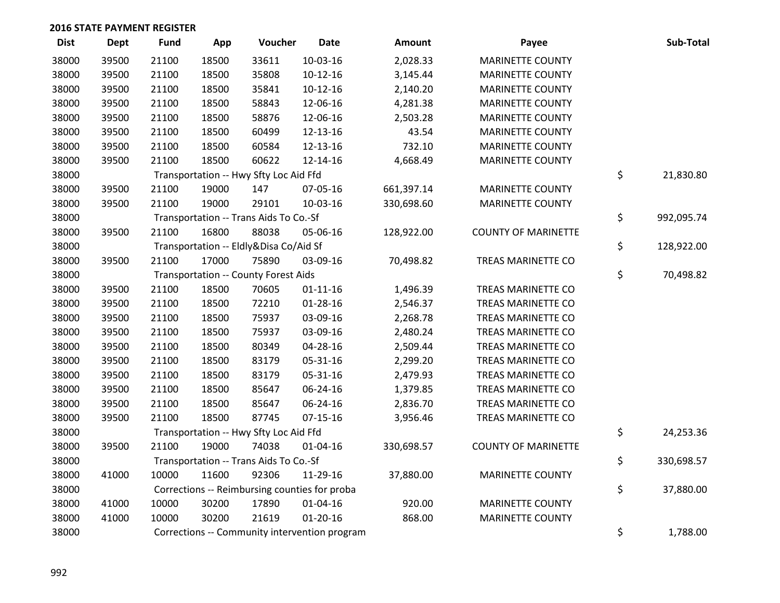| <b>Dist</b> | <b>Dept</b> | <b>Fund</b> | App   | Voucher                                       | <b>Date</b>    | Amount     | Payee                      | Sub-Total        |
|-------------|-------------|-------------|-------|-----------------------------------------------|----------------|------------|----------------------------|------------------|
| 38000       | 39500       | 21100       | 18500 | 33611                                         | 10-03-16       | 2,028.33   | <b>MARINETTE COUNTY</b>    |                  |
| 38000       | 39500       | 21100       | 18500 | 35808                                         | $10-12-16$     | 3,145.44   | <b>MARINETTE COUNTY</b>    |                  |
| 38000       | 39500       | 21100       | 18500 | 35841                                         | $10-12-16$     | 2,140.20   | <b>MARINETTE COUNTY</b>    |                  |
| 38000       | 39500       | 21100       | 18500 | 58843                                         | 12-06-16       | 4,281.38   | <b>MARINETTE COUNTY</b>    |                  |
| 38000       | 39500       | 21100       | 18500 | 58876                                         | 12-06-16       | 2,503.28   | <b>MARINETTE COUNTY</b>    |                  |
| 38000       | 39500       | 21100       | 18500 | 60499                                         | 12-13-16       | 43.54      | <b>MARINETTE COUNTY</b>    |                  |
| 38000       | 39500       | 21100       | 18500 | 60584                                         | 12-13-16       | 732.10     | <b>MARINETTE COUNTY</b>    |                  |
| 38000       | 39500       | 21100       | 18500 | 60622                                         | 12-14-16       | 4,668.49   | <b>MARINETTE COUNTY</b>    |                  |
| 38000       |             |             |       | Transportation -- Hwy Sfty Loc Aid Ffd        |                |            |                            | \$<br>21,830.80  |
| 38000       | 39500       | 21100       | 19000 | 147                                           | 07-05-16       | 661,397.14 | <b>MARINETTE COUNTY</b>    |                  |
| 38000       | 39500       | 21100       | 19000 | 29101                                         | 10-03-16       | 330,698.60 | <b>MARINETTE COUNTY</b>    |                  |
| 38000       |             |             |       | Transportation -- Trans Aids To Co.-Sf        |                |            |                            | \$<br>992,095.74 |
| 38000       | 39500       | 21100       | 16800 | 88038                                         | 05-06-16       | 128,922.00 | <b>COUNTY OF MARINETTE</b> |                  |
| 38000       |             |             |       | Transportation -- Eldly&Disa Co/Aid Sf        |                |            |                            | \$<br>128,922.00 |
| 38000       | 39500       | 21100       | 17000 | 75890                                         | 03-09-16       | 70,498.82  | TREAS MARINETTE CO         |                  |
| 38000       |             |             |       | <b>Transportation -- County Forest Aids</b>   |                |            |                            | \$<br>70,498.82  |
| 38000       | 39500       | 21100       | 18500 | 70605                                         | $01 - 11 - 16$ | 1,496.39   | TREAS MARINETTE CO         |                  |
| 38000       | 39500       | 21100       | 18500 | 72210                                         | $01 - 28 - 16$ | 2,546.37   | TREAS MARINETTE CO         |                  |
| 38000       | 39500       | 21100       | 18500 | 75937                                         | 03-09-16       | 2,268.78   | TREAS MARINETTE CO         |                  |
| 38000       | 39500       | 21100       | 18500 | 75937                                         | 03-09-16       | 2,480.24   | TREAS MARINETTE CO         |                  |
| 38000       | 39500       | 21100       | 18500 | 80349                                         | 04-28-16       | 2,509.44   | TREAS MARINETTE CO         |                  |
| 38000       | 39500       | 21100       | 18500 | 83179                                         | 05-31-16       | 2,299.20   | TREAS MARINETTE CO         |                  |
| 38000       | 39500       | 21100       | 18500 | 83179                                         | 05-31-16       | 2,479.93   | TREAS MARINETTE CO         |                  |
| 38000       | 39500       | 21100       | 18500 | 85647                                         | 06-24-16       | 1,379.85   | TREAS MARINETTE CO         |                  |
| 38000       | 39500       | 21100       | 18500 | 85647                                         | 06-24-16       | 2,836.70   | TREAS MARINETTE CO         |                  |
| 38000       | 39500       | 21100       | 18500 | 87745                                         | $07-15-16$     | 3,956.46   | TREAS MARINETTE CO         |                  |
| 38000       |             |             |       | Transportation -- Hwy Sfty Loc Aid Ffd        |                |            |                            | \$<br>24,253.36  |
| 38000       | 39500       | 21100       | 19000 | 74038                                         | $01 - 04 - 16$ | 330,698.57 | <b>COUNTY OF MARINETTE</b> |                  |
| 38000       |             |             |       | Transportation -- Trans Aids To Co.-Sf        |                |            |                            | \$<br>330,698.57 |
| 38000       | 41000       | 10000       | 11600 | 92306                                         | 11-29-16       | 37,880.00  | <b>MARINETTE COUNTY</b>    |                  |
| 38000       |             |             |       | Corrections -- Reimbursing counties for proba |                |            |                            | \$<br>37,880.00  |
| 38000       | 41000       | 10000       | 30200 | 17890                                         | $01 - 04 - 16$ | 920.00     | <b>MARINETTE COUNTY</b>    |                  |
| 38000       | 41000       | 10000       | 30200 | 21619                                         | $01 - 20 - 16$ | 868.00     | <b>MARINETTE COUNTY</b>    |                  |
| 38000       |             |             |       | Corrections -- Community intervention program |                |            |                            | \$<br>1,788.00   |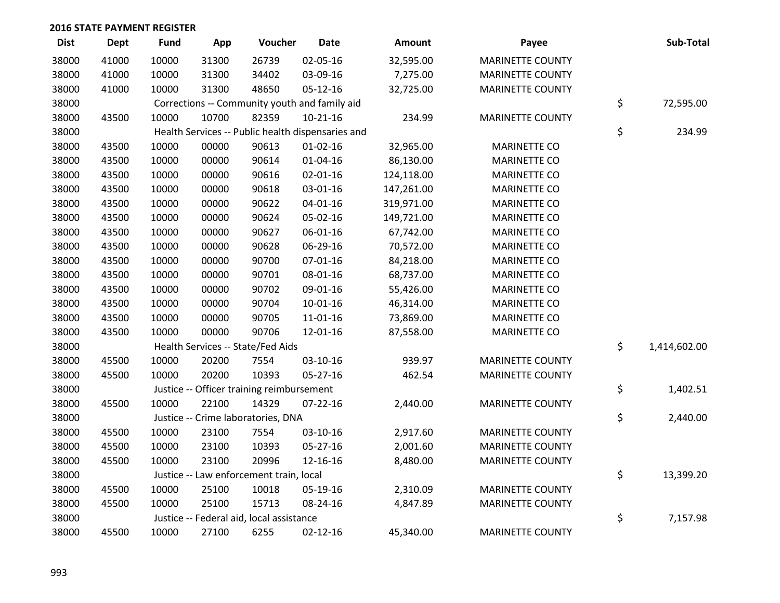| <b>Dist</b> | <b>Dept</b> | <b>Fund</b> | App   | Voucher                                           | <b>Date</b>    | Amount     | Payee                   | Sub-Total          |
|-------------|-------------|-------------|-------|---------------------------------------------------|----------------|------------|-------------------------|--------------------|
| 38000       | 41000       | 10000       | 31300 | 26739                                             | 02-05-16       | 32,595.00  | <b>MARINETTE COUNTY</b> |                    |
| 38000       | 41000       | 10000       | 31300 | 34402                                             | 03-09-16       | 7,275.00   | <b>MARINETTE COUNTY</b> |                    |
| 38000       | 41000       | 10000       | 31300 | 48650                                             | $05 - 12 - 16$ | 32,725.00  | <b>MARINETTE COUNTY</b> |                    |
| 38000       |             |             |       | Corrections -- Community youth and family aid     |                |            |                         | \$<br>72,595.00    |
| 38000       | 43500       | 10000       | 10700 | 82359                                             | $10-21-16$     | 234.99     | <b>MARINETTE COUNTY</b> |                    |
| 38000       |             |             |       | Health Services -- Public health dispensaries and |                |            |                         | \$<br>234.99       |
| 38000       | 43500       | 10000       | 00000 | 90613                                             | $01 - 02 - 16$ | 32,965.00  | <b>MARINETTE CO</b>     |                    |
| 38000       | 43500       | 10000       | 00000 | 90614                                             | $01 - 04 - 16$ | 86,130.00  | MARINETTE CO            |                    |
| 38000       | 43500       | 10000       | 00000 | 90616                                             | 02-01-16       | 124,118.00 | MARINETTE CO            |                    |
| 38000       | 43500       | 10000       | 00000 | 90618                                             | 03-01-16       | 147,261.00 | <b>MARINETTE CO</b>     |                    |
| 38000       | 43500       | 10000       | 00000 | 90622                                             | $04 - 01 - 16$ | 319,971.00 | MARINETTE CO            |                    |
| 38000       | 43500       | 10000       | 00000 | 90624                                             | 05-02-16       | 149,721.00 | MARINETTE CO            |                    |
| 38000       | 43500       | 10000       | 00000 | 90627                                             | 06-01-16       | 67,742.00  | MARINETTE CO            |                    |
| 38000       | 43500       | 10000       | 00000 | 90628                                             | 06-29-16       | 70,572.00  | <b>MARINETTE CO</b>     |                    |
| 38000       | 43500       | 10000       | 00000 | 90700                                             | $07 - 01 - 16$ | 84,218.00  | <b>MARINETTE CO</b>     |                    |
| 38000       | 43500       | 10000       | 00000 | 90701                                             | 08-01-16       | 68,737.00  | <b>MARINETTE CO</b>     |                    |
| 38000       | 43500       | 10000       | 00000 | 90702                                             | 09-01-16       | 55,426.00  | <b>MARINETTE CO</b>     |                    |
| 38000       | 43500       | 10000       | 00000 | 90704                                             | $10-01-16$     | 46,314.00  | <b>MARINETTE CO</b>     |                    |
| 38000       | 43500       | 10000       | 00000 | 90705                                             | $11 - 01 - 16$ | 73,869.00  | <b>MARINETTE CO</b>     |                    |
| 38000       | 43500       | 10000       | 00000 | 90706                                             | 12-01-16       | 87,558.00  | MARINETTE CO            |                    |
| 38000       |             |             |       | Health Services -- State/Fed Aids                 |                |            |                         | \$<br>1,414,602.00 |
| 38000       | 45500       | 10000       | 20200 | 7554                                              | 03-10-16       | 939.97     | <b>MARINETTE COUNTY</b> |                    |
| 38000       | 45500       | 10000       | 20200 | 10393                                             | 05-27-16       | 462.54     | <b>MARINETTE COUNTY</b> |                    |
| 38000       |             |             |       | Justice -- Officer training reimbursement         |                |            |                         | \$<br>1,402.51     |
| 38000       | 45500       | 10000       | 22100 | 14329                                             | $07 - 22 - 16$ | 2,440.00   | <b>MARINETTE COUNTY</b> |                    |
| 38000       |             |             |       | Justice -- Crime laboratories, DNA                |                |            |                         | \$<br>2,440.00     |
| 38000       | 45500       | 10000       | 23100 | 7554                                              | 03-10-16       | 2,917.60   | <b>MARINETTE COUNTY</b> |                    |
| 38000       | 45500       | 10000       | 23100 | 10393                                             | 05-27-16       | 2,001.60   | <b>MARINETTE COUNTY</b> |                    |
| 38000       | 45500       | 10000       | 23100 | 20996                                             | 12-16-16       | 8,480.00   | <b>MARINETTE COUNTY</b> |                    |
| 38000       |             |             |       | Justice -- Law enforcement train, local           |                |            |                         | \$<br>13,399.20    |
| 38000       | 45500       | 10000       | 25100 | 10018                                             | 05-19-16       | 2,310.09   | <b>MARINETTE COUNTY</b> |                    |
| 38000       | 45500       | 10000       | 25100 | 15713                                             | 08-24-16       | 4,847.89   | <b>MARINETTE COUNTY</b> |                    |
| 38000       |             |             |       | Justice -- Federal aid, local assistance          |                |            |                         | \$<br>7,157.98     |
| 38000       | 45500       | 10000       | 27100 | 6255                                              | $02 - 12 - 16$ | 45,340.00  | <b>MARINETTE COUNTY</b> |                    |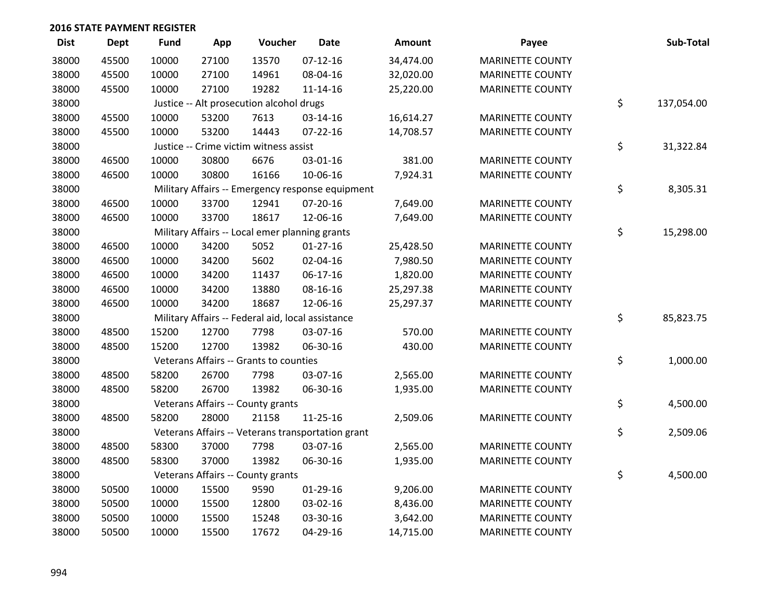| <b>Dist</b> | Dept  | <b>Fund</b> | App   | Voucher                                           | <b>Date</b>                                       | <b>Amount</b> | Payee                   | Sub-Total        |
|-------------|-------|-------------|-------|---------------------------------------------------|---------------------------------------------------|---------------|-------------------------|------------------|
| 38000       | 45500 | 10000       | 27100 | 13570                                             | $07-12-16$                                        | 34,474.00     | <b>MARINETTE COUNTY</b> |                  |
| 38000       | 45500 | 10000       | 27100 | 14961                                             | 08-04-16                                          | 32,020.00     | <b>MARINETTE COUNTY</b> |                  |
| 38000       | 45500 | 10000       | 27100 | 19282                                             | $11 - 14 - 16$                                    | 25,220.00     | <b>MARINETTE COUNTY</b> |                  |
| 38000       |       |             |       | Justice -- Alt prosecution alcohol drugs          |                                                   |               |                         | \$<br>137,054.00 |
| 38000       | 45500 | 10000       | 53200 | 7613                                              | 03-14-16                                          | 16,614.27     | <b>MARINETTE COUNTY</b> |                  |
| 38000       | 45500 | 10000       | 53200 | 14443                                             | 07-22-16                                          | 14,708.57     | <b>MARINETTE COUNTY</b> |                  |
| 38000       |       |             |       | Justice -- Crime victim witness assist            |                                                   |               |                         | \$<br>31,322.84  |
| 38000       | 46500 | 10000       | 30800 | 6676                                              | 03-01-16                                          | 381.00        | <b>MARINETTE COUNTY</b> |                  |
| 38000       | 46500 | 10000       | 30800 | 16166                                             | 10-06-16                                          | 7,924.31      | <b>MARINETTE COUNTY</b> |                  |
| 38000       |       |             |       |                                                   | Military Affairs -- Emergency response equipment  |               |                         | \$<br>8,305.31   |
| 38000       | 46500 | 10000       | 33700 | 12941                                             | 07-20-16                                          | 7,649.00      | <b>MARINETTE COUNTY</b> |                  |
| 38000       | 46500 | 10000       | 33700 | 18617                                             | 12-06-16                                          | 7,649.00      | <b>MARINETTE COUNTY</b> |                  |
| 38000       |       |             |       | Military Affairs -- Local emer planning grants    |                                                   |               |                         | \$<br>15,298.00  |
| 38000       | 46500 | 10000       | 34200 | 5052                                              | $01 - 27 - 16$                                    | 25,428.50     | <b>MARINETTE COUNTY</b> |                  |
| 38000       | 46500 | 10000       | 34200 | 5602                                              | 02-04-16                                          | 7,980.50      | <b>MARINETTE COUNTY</b> |                  |
| 38000       | 46500 | 10000       | 34200 | 11437                                             | $06-17-16$                                        | 1,820.00      | <b>MARINETTE COUNTY</b> |                  |
| 38000       | 46500 | 10000       | 34200 | 13880                                             | 08-16-16                                          | 25,297.38     | <b>MARINETTE COUNTY</b> |                  |
| 38000       | 46500 | 10000       | 34200 | 18687                                             | 12-06-16                                          | 25,297.37     | <b>MARINETTE COUNTY</b> |                  |
| 38000       |       |             |       | Military Affairs -- Federal aid, local assistance |                                                   |               |                         | \$<br>85,823.75  |
| 38000       | 48500 | 15200       | 12700 | 7798                                              | 03-07-16                                          | 570.00        | <b>MARINETTE COUNTY</b> |                  |
| 38000       | 48500 | 15200       | 12700 | 13982                                             | 06-30-16                                          | 430.00        | <b>MARINETTE COUNTY</b> |                  |
| 38000       |       |             |       | Veterans Affairs -- Grants to counties            |                                                   |               |                         | \$<br>1,000.00   |
| 38000       | 48500 | 58200       | 26700 | 7798                                              | 03-07-16                                          | 2,565.00      | <b>MARINETTE COUNTY</b> |                  |
| 38000       | 48500 | 58200       | 26700 | 13982                                             | 06-30-16                                          | 1,935.00      | <b>MARINETTE COUNTY</b> |                  |
| 38000       |       |             |       | Veterans Affairs -- County grants                 |                                                   |               |                         | \$<br>4,500.00   |
| 38000       | 48500 | 58200       | 28000 | 21158                                             | $11 - 25 - 16$                                    | 2,509.06      | <b>MARINETTE COUNTY</b> |                  |
| 38000       |       |             |       |                                                   | Veterans Affairs -- Veterans transportation grant |               |                         | \$<br>2,509.06   |
| 38000       | 48500 | 58300       | 37000 | 7798                                              | 03-07-16                                          | 2,565.00      | <b>MARINETTE COUNTY</b> |                  |
| 38000       | 48500 | 58300       | 37000 | 13982                                             | 06-30-16                                          | 1,935.00      | <b>MARINETTE COUNTY</b> |                  |
| 38000       |       |             |       | Veterans Affairs -- County grants                 |                                                   |               |                         | \$<br>4,500.00   |
| 38000       | 50500 | 10000       | 15500 | 9590                                              | 01-29-16                                          | 9,206.00      | <b>MARINETTE COUNTY</b> |                  |
| 38000       | 50500 | 10000       | 15500 | 12800                                             | 03-02-16                                          | 8,436.00      | <b>MARINETTE COUNTY</b> |                  |
| 38000       | 50500 | 10000       | 15500 | 15248                                             | 03-30-16                                          | 3,642.00      | <b>MARINETTE COUNTY</b> |                  |
| 38000       | 50500 | 10000       | 15500 | 17672                                             | 04-29-16                                          | 14,715.00     | <b>MARINETTE COUNTY</b> |                  |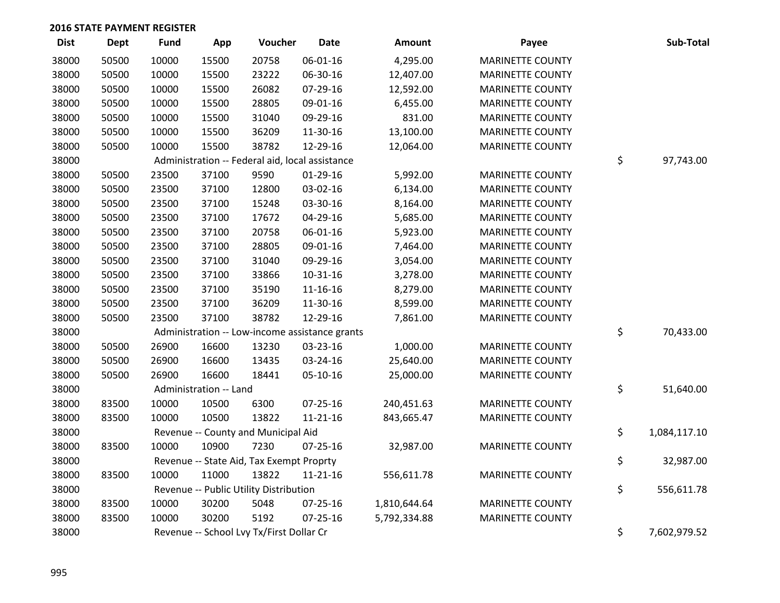| <b>Dist</b> | <b>Dept</b> | <b>Fund</b> | App                    | Voucher                                         | <b>Date</b>    | <b>Amount</b> | Payee                   | Sub-Total          |
|-------------|-------------|-------------|------------------------|-------------------------------------------------|----------------|---------------|-------------------------|--------------------|
| 38000       | 50500       | 10000       | 15500                  | 20758                                           | 06-01-16       | 4,295.00      | <b>MARINETTE COUNTY</b> |                    |
| 38000       | 50500       | 10000       | 15500                  | 23222                                           | 06-30-16       | 12,407.00     | <b>MARINETTE COUNTY</b> |                    |
| 38000       | 50500       | 10000       | 15500                  | 26082                                           | 07-29-16       | 12,592.00     | <b>MARINETTE COUNTY</b> |                    |
| 38000       | 50500       | 10000       | 15500                  | 28805                                           | 09-01-16       | 6,455.00      | <b>MARINETTE COUNTY</b> |                    |
| 38000       | 50500       | 10000       | 15500                  | 31040                                           | 09-29-16       | 831.00        | <b>MARINETTE COUNTY</b> |                    |
| 38000       | 50500       | 10000       | 15500                  | 36209                                           | 11-30-16       | 13,100.00     | <b>MARINETTE COUNTY</b> |                    |
| 38000       | 50500       | 10000       | 15500                  | 38782                                           | 12-29-16       | 12,064.00     | <b>MARINETTE COUNTY</b> |                    |
| 38000       |             |             |                        | Administration -- Federal aid, local assistance |                |               |                         | \$<br>97,743.00    |
| 38000       | 50500       | 23500       | 37100                  | 9590                                            | 01-29-16       | 5,992.00      | <b>MARINETTE COUNTY</b> |                    |
| 38000       | 50500       | 23500       | 37100                  | 12800                                           | 03-02-16       | 6,134.00      | <b>MARINETTE COUNTY</b> |                    |
| 38000       | 50500       | 23500       | 37100                  | 15248                                           | 03-30-16       | 8,164.00      | <b>MARINETTE COUNTY</b> |                    |
| 38000       | 50500       | 23500       | 37100                  | 17672                                           | 04-29-16       | 5,685.00      | <b>MARINETTE COUNTY</b> |                    |
| 38000       | 50500       | 23500       | 37100                  | 20758                                           | 06-01-16       | 5,923.00      | <b>MARINETTE COUNTY</b> |                    |
| 38000       | 50500       | 23500       | 37100                  | 28805                                           | 09-01-16       | 7,464.00      | <b>MARINETTE COUNTY</b> |                    |
| 38000       | 50500       | 23500       | 37100                  | 31040                                           | 09-29-16       | 3,054.00      | <b>MARINETTE COUNTY</b> |                    |
| 38000       | 50500       | 23500       | 37100                  | 33866                                           | 10-31-16       | 3,278.00      | <b>MARINETTE COUNTY</b> |                    |
| 38000       | 50500       | 23500       | 37100                  | 35190                                           | 11-16-16       | 8,279.00      | <b>MARINETTE COUNTY</b> |                    |
| 38000       | 50500       | 23500       | 37100                  | 36209                                           | 11-30-16       | 8,599.00      | <b>MARINETTE COUNTY</b> |                    |
| 38000       | 50500       | 23500       | 37100                  | 38782                                           | 12-29-16       | 7,861.00      | <b>MARINETTE COUNTY</b> |                    |
| 38000       |             |             |                        | Administration -- Low-income assistance grants  |                |               |                         | \$<br>70,433.00    |
| 38000       | 50500       | 26900       | 16600                  | 13230                                           | 03-23-16       | 1,000.00      | <b>MARINETTE COUNTY</b> |                    |
| 38000       | 50500       | 26900       | 16600                  | 13435                                           | 03-24-16       | 25,640.00     | <b>MARINETTE COUNTY</b> |                    |
| 38000       | 50500       | 26900       | 16600                  | 18441                                           | 05-10-16       | 25,000.00     | <b>MARINETTE COUNTY</b> |                    |
| 38000       |             |             | Administration -- Land |                                                 |                |               |                         | \$<br>51,640.00    |
| 38000       | 83500       | 10000       | 10500                  | 6300                                            | 07-25-16       | 240,451.63    | <b>MARINETTE COUNTY</b> |                    |
| 38000       | 83500       | 10000       | 10500                  | 13822                                           | 11-21-16       | 843,665.47    | <b>MARINETTE COUNTY</b> |                    |
| 38000       |             |             |                        | Revenue -- County and Municipal Aid             |                |               |                         | \$<br>1,084,117.10 |
| 38000       | 83500       | 10000       | 10900                  | 7230                                            | $07 - 25 - 16$ | 32,987.00     | <b>MARINETTE COUNTY</b> |                    |
| 38000       |             |             |                        | Revenue -- State Aid, Tax Exempt Proprty        |                |               |                         | \$<br>32,987.00    |
| 38000       | 83500       | 10000       | 11000                  | 13822                                           | 11-21-16       | 556,611.78    | <b>MARINETTE COUNTY</b> |                    |
| 38000       |             |             |                        | Revenue -- Public Utility Distribution          |                |               |                         | \$<br>556,611.78   |
| 38000       | 83500       | 10000       | 30200                  | 5048                                            | 07-25-16       | 1,810,644.64  | <b>MARINETTE COUNTY</b> |                    |
| 38000       | 83500       | 10000       | 30200                  | 5192                                            | $07 - 25 - 16$ | 5,792,334.88  | <b>MARINETTE COUNTY</b> |                    |
| 38000       |             |             |                        | Revenue -- School Lvy Tx/First Dollar Cr        |                |               |                         | \$<br>7,602,979.52 |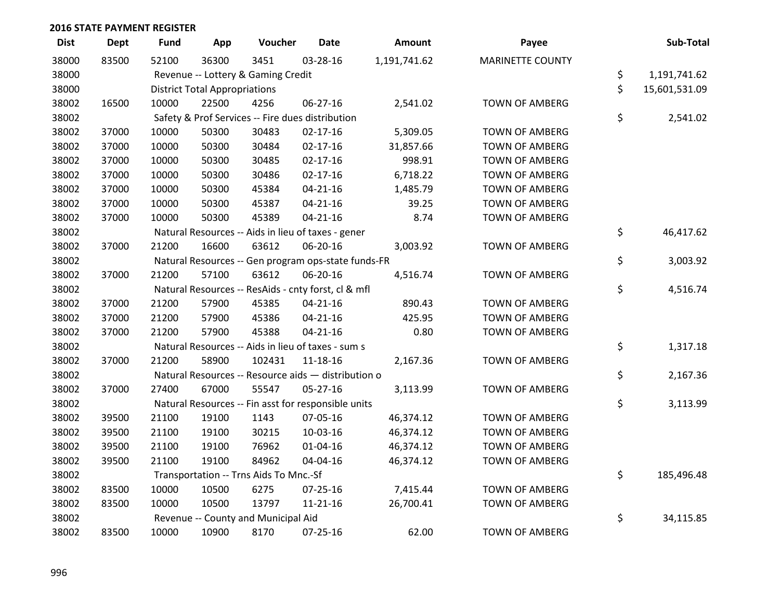| <b>Dist</b> | <b>Dept</b> | <b>Fund</b> | App                                  | Voucher                                             | <b>Date</b>    | Amount       | Payee                   | Sub-Total           |
|-------------|-------------|-------------|--------------------------------------|-----------------------------------------------------|----------------|--------------|-------------------------|---------------------|
| 38000       | 83500       | 52100       | 36300                                | 3451                                                | 03-28-16       | 1,191,741.62 | <b>MARINETTE COUNTY</b> |                     |
| 38000       |             |             |                                      | Revenue -- Lottery & Gaming Credit                  |                |              |                         | \$<br>1,191,741.62  |
| 38000       |             |             | <b>District Total Appropriations</b> |                                                     |                |              |                         | \$<br>15,601,531.09 |
| 38002       | 16500       | 10000       | 22500                                | 4256                                                | 06-27-16       | 2,541.02     | <b>TOWN OF AMBERG</b>   |                     |
| 38002       |             |             |                                      | Safety & Prof Services -- Fire dues distribution    |                |              |                         | \$<br>2,541.02      |
| 38002       | 37000       | 10000       | 50300                                | 30483                                               | $02 - 17 - 16$ | 5,309.05     | <b>TOWN OF AMBERG</b>   |                     |
| 38002       | 37000       | 10000       | 50300                                | 30484                                               | $02 - 17 - 16$ | 31,857.66    | <b>TOWN OF AMBERG</b>   |                     |
| 38002       | 37000       | 10000       | 50300                                | 30485                                               | $02 - 17 - 16$ | 998.91       | <b>TOWN OF AMBERG</b>   |                     |
| 38002       | 37000       | 10000       | 50300                                | 30486                                               | $02 - 17 - 16$ | 6,718.22     | <b>TOWN OF AMBERG</b>   |                     |
| 38002       | 37000       | 10000       | 50300                                | 45384                                               | $04 - 21 - 16$ | 1,485.79     | <b>TOWN OF AMBERG</b>   |                     |
| 38002       | 37000       | 10000       | 50300                                | 45387                                               | $04 - 21 - 16$ | 39.25        | <b>TOWN OF AMBERG</b>   |                     |
| 38002       | 37000       | 10000       | 50300                                | 45389                                               | $04 - 21 - 16$ | 8.74         | <b>TOWN OF AMBERG</b>   |                     |
| 38002       |             |             |                                      | Natural Resources -- Aids in lieu of taxes - gener  |                |              |                         | \$<br>46,417.62     |
| 38002       | 37000       | 21200       | 16600                                | 63612                                               | 06-20-16       | 3,003.92     | <b>TOWN OF AMBERG</b>   |                     |
| 38002       |             |             |                                      | Natural Resources -- Gen program ops-state funds-FR |                |              |                         | \$<br>3,003.92      |
| 38002       | 37000       | 21200       | 57100                                | 63612                                               | 06-20-16       | 4,516.74     | <b>TOWN OF AMBERG</b>   |                     |
| 38002       |             |             |                                      | Natural Resources -- ResAids - cnty forst, cl & mfl |                |              |                         | \$<br>4,516.74      |
| 38002       | 37000       | 21200       | 57900                                | 45385                                               | $04 - 21 - 16$ | 890.43       | <b>TOWN OF AMBERG</b>   |                     |
| 38002       | 37000       | 21200       | 57900                                | 45386                                               | $04 - 21 - 16$ | 425.95       | <b>TOWN OF AMBERG</b>   |                     |
| 38002       | 37000       | 21200       | 57900                                | 45388                                               | $04 - 21 - 16$ | 0.80         | <b>TOWN OF AMBERG</b>   |                     |
| 38002       |             |             |                                      | Natural Resources -- Aids in lieu of taxes - sum s  |                |              |                         | \$<br>1,317.18      |
| 38002       | 37000       | 21200       | 58900                                | 102431                                              | 11-18-16       | 2,167.36     | <b>TOWN OF AMBERG</b>   |                     |
| 38002       |             |             |                                      | Natural Resources -- Resource aids - distribution o |                |              |                         | \$<br>2,167.36      |
| 38002       | 37000       | 27400       | 67000                                | 55547                                               | 05-27-16       | 3,113.99     | <b>TOWN OF AMBERG</b>   |                     |
| 38002       |             |             |                                      | Natural Resources -- Fin asst for responsible units |                |              |                         | \$<br>3,113.99      |
| 38002       | 39500       | 21100       | 19100                                | 1143                                                | 07-05-16       | 46,374.12    | <b>TOWN OF AMBERG</b>   |                     |
| 38002       | 39500       | 21100       | 19100                                | 30215                                               | 10-03-16       | 46,374.12    | <b>TOWN OF AMBERG</b>   |                     |
| 38002       | 39500       | 21100       | 19100                                | 76962                                               | 01-04-16       | 46,374.12    | <b>TOWN OF AMBERG</b>   |                     |
| 38002       | 39500       | 21100       | 19100                                | 84962                                               | 04-04-16       | 46,374.12    | <b>TOWN OF AMBERG</b>   |                     |
| 38002       |             |             |                                      | Transportation -- Trns Aids To Mnc.-Sf              |                |              |                         | \$<br>185,496.48    |
| 38002       | 83500       | 10000       | 10500                                | 6275                                                | 07-25-16       | 7,415.44     | <b>TOWN OF AMBERG</b>   |                     |
| 38002       | 83500       | 10000       | 10500                                | 13797                                               | $11 - 21 - 16$ | 26,700.41    | <b>TOWN OF AMBERG</b>   |                     |
| 38002       |             |             |                                      | Revenue -- County and Municipal Aid                 |                |              |                         | \$<br>34,115.85     |
| 38002       | 83500       | 10000       | 10900                                | 8170                                                | $07 - 25 - 16$ | 62.00        | TOWN OF AMBERG          |                     |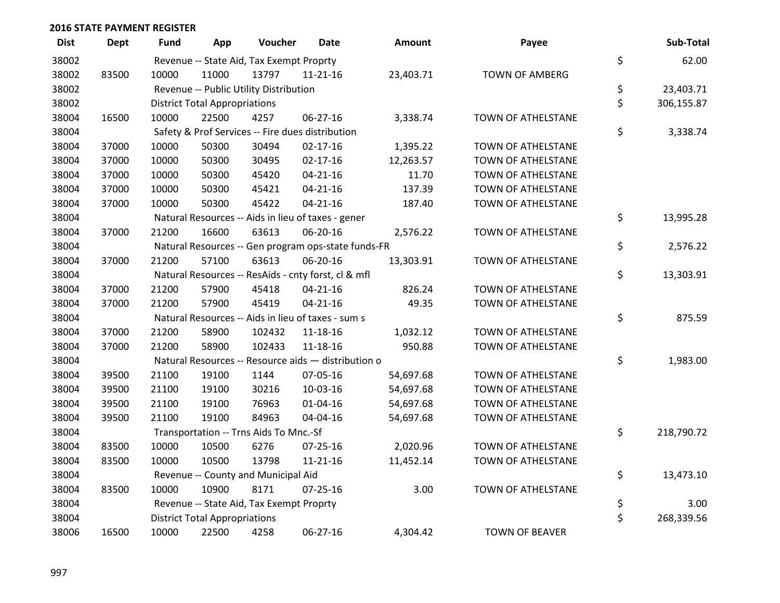| <b>Dist</b> | <b>Dept</b> | <b>Fund</b> | App                                  | Voucher                                  | Date                                                | <b>Amount</b> | Payee                 | Sub-Total        |
|-------------|-------------|-------------|--------------------------------------|------------------------------------------|-----------------------------------------------------|---------------|-----------------------|------------------|
| 38002       |             |             |                                      | Revenue -- State Aid, Tax Exempt Proprty |                                                     |               |                       | \$<br>62.00      |
| 38002       | 83500       | 10000       | 11000                                | 13797                                    | 11-21-16                                            | 23,403.71     | <b>TOWN OF AMBERG</b> |                  |
| 38002       |             |             |                                      | Revenue -- Public Utility Distribution   |                                                     |               |                       | \$<br>23,403.71  |
| 38002       |             |             | <b>District Total Appropriations</b> |                                          |                                                     |               |                       | \$<br>306,155.87 |
| 38004       | 16500       | 10000       | 22500                                | 4257                                     | $06 - 27 - 16$                                      | 3,338.74      | TOWN OF ATHELSTANE    |                  |
| 38004       |             |             |                                      |                                          | Safety & Prof Services -- Fire dues distribution    |               |                       | \$<br>3,338.74   |
| 38004       | 37000       | 10000       | 50300                                | 30494                                    | $02 - 17 - 16$                                      | 1,395.22      | TOWN OF ATHELSTANE    |                  |
| 38004       | 37000       | 10000       | 50300                                | 30495                                    | $02 - 17 - 16$                                      | 12,263.57     | TOWN OF ATHELSTANE    |                  |
| 38004       | 37000       | 10000       | 50300                                | 45420                                    | $04 - 21 - 16$                                      | 11.70         | TOWN OF ATHELSTANE    |                  |
| 38004       | 37000       | 10000       | 50300                                | 45421                                    | $04 - 21 - 16$                                      | 137.39        | TOWN OF ATHELSTANE    |                  |
| 38004       | 37000       | 10000       | 50300                                | 45422                                    | $04 - 21 - 16$                                      | 187.40        | TOWN OF ATHELSTANE    |                  |
| 38004       |             |             |                                      |                                          | Natural Resources -- Aids in lieu of taxes - gener  |               |                       | \$<br>13,995.28  |
| 38004       | 37000       | 21200       | 16600                                | 63613                                    | 06-20-16                                            | 2,576.22      | TOWN OF ATHELSTANE    |                  |
| 38004       |             |             |                                      |                                          | Natural Resources -- Gen program ops-state funds-FR |               |                       | \$<br>2,576.22   |
| 38004       | 37000       | 21200       | 57100                                | 63613                                    | 06-20-16                                            | 13,303.91     | TOWN OF ATHELSTANE    |                  |
| 38004       |             |             |                                      |                                          | Natural Resources -- ResAids - cnty forst, cl & mfl |               |                       | \$<br>13,303.91  |
| 38004       | 37000       | 21200       | 57900                                | 45418                                    | $04 - 21 - 16$                                      | 826.24        | TOWN OF ATHELSTANE    |                  |
| 38004       | 37000       | 21200       | 57900                                | 45419                                    | $04 - 21 - 16$                                      | 49.35         | TOWN OF ATHELSTANE    |                  |
| 38004       |             |             |                                      |                                          | Natural Resources -- Aids in lieu of taxes - sum s  |               |                       | \$<br>875.59     |
| 38004       | 37000       | 21200       | 58900                                | 102432                                   | 11-18-16                                            | 1,032.12      | TOWN OF ATHELSTANE    |                  |
| 38004       | 37000       | 21200       | 58900                                | 102433                                   | 11-18-16                                            | 950.88        | TOWN OF ATHELSTANE    |                  |
| 38004       |             |             |                                      |                                          | Natural Resources -- Resource aids - distribution o |               |                       | \$<br>1,983.00   |
| 38004       | 39500       | 21100       | 19100                                | 1144                                     | 07-05-16                                            | 54,697.68     | TOWN OF ATHELSTANE    |                  |
| 38004       | 39500       | 21100       | 19100                                | 30216                                    | 10-03-16                                            | 54,697.68     | TOWN OF ATHELSTANE    |                  |
| 38004       | 39500       | 21100       | 19100                                | 76963                                    | $01 - 04 - 16$                                      | 54,697.68     | TOWN OF ATHELSTANE    |                  |
| 38004       | 39500       | 21100       | 19100                                | 84963                                    | 04-04-16                                            | 54,697.68     | TOWN OF ATHELSTANE    |                  |
| 38004       |             |             |                                      | Transportation -- Trns Aids To Mnc.-Sf   |                                                     |               |                       | \$<br>218,790.72 |
| 38004       | 83500       | 10000       | 10500                                | 6276                                     | $07 - 25 - 16$                                      | 2,020.96      | TOWN OF ATHELSTANE    |                  |
| 38004       | 83500       | 10000       | 10500                                | 13798                                    | $11 - 21 - 16$                                      | 11,452.14     | TOWN OF ATHELSTANE    |                  |
| 38004       |             |             |                                      | Revenue -- County and Municipal Aid      |                                                     |               |                       | \$<br>13,473.10  |
| 38004       | 83500       | 10000       | 10900                                | 8171                                     | $07 - 25 - 16$                                      | 3.00          | TOWN OF ATHELSTANE    |                  |
| 38004       |             |             |                                      | Revenue -- State Aid, Tax Exempt Proprty |                                                     |               |                       | \$<br>3.00       |
| 38004       |             |             | <b>District Total Appropriations</b> |                                          |                                                     |               |                       | \$<br>268,339.56 |
| 38006       | 16500       | 10000       | 22500                                | 4258                                     | 06-27-16                                            | 4,304.42      | <b>TOWN OF BEAVER</b> |                  |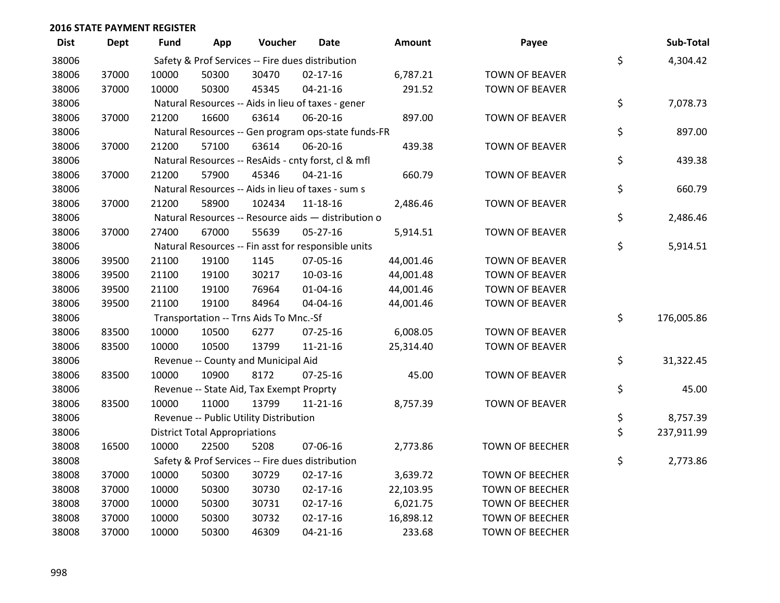| <b>Dist</b> | <b>Dept</b> | <b>Fund</b> | App                                  | Voucher                                  | <b>Date</b>                                         | Amount    | Payee                  | Sub-Total        |
|-------------|-------------|-------------|--------------------------------------|------------------------------------------|-----------------------------------------------------|-----------|------------------------|------------------|
| 38006       |             |             |                                      |                                          | Safety & Prof Services -- Fire dues distribution    |           |                        | \$<br>4,304.42   |
| 38006       | 37000       | 10000       | 50300                                | 30470                                    | $02 - 17 - 16$                                      | 6,787.21  | <b>TOWN OF BEAVER</b>  |                  |
| 38006       | 37000       | 10000       | 50300                                | 45345                                    | $04 - 21 - 16$                                      | 291.52    | <b>TOWN OF BEAVER</b>  |                  |
| 38006       |             |             |                                      |                                          | Natural Resources -- Aids in lieu of taxes - gener  |           |                        | \$<br>7,078.73   |
| 38006       | 37000       | 21200       | 16600                                | 63614                                    | 06-20-16                                            | 897.00    | <b>TOWN OF BEAVER</b>  |                  |
| 38006       |             |             |                                      |                                          | Natural Resources -- Gen program ops-state funds-FR |           |                        | \$<br>897.00     |
| 38006       | 37000       | 21200       | 57100                                | 63614                                    | 06-20-16                                            | 439.38    | <b>TOWN OF BEAVER</b>  |                  |
| 38006       |             |             |                                      |                                          | Natural Resources -- ResAids - cnty forst, cl & mfl |           |                        | \$<br>439.38     |
| 38006       | 37000       | 21200       | 57900                                | 45346                                    | $04 - 21 - 16$                                      | 660.79    | <b>TOWN OF BEAVER</b>  |                  |
| 38006       |             |             |                                      |                                          | Natural Resources -- Aids in lieu of taxes - sum s  |           |                        | \$<br>660.79     |
| 38006       | 37000       | 21200       | 58900                                | 102434                                   | $11 - 18 - 16$                                      | 2,486.46  | <b>TOWN OF BEAVER</b>  |                  |
| 38006       |             |             |                                      |                                          | Natural Resources -- Resource aids - distribution o |           |                        | \$<br>2,486.46   |
| 38006       | 37000       | 27400       | 67000                                | 55639                                    | $05 - 27 - 16$                                      | 5,914.51  | <b>TOWN OF BEAVER</b>  |                  |
| 38006       |             |             |                                      |                                          | Natural Resources -- Fin asst for responsible units |           |                        | \$<br>5,914.51   |
| 38006       | 39500       | 21100       | 19100                                | 1145                                     | 07-05-16                                            | 44,001.46 | <b>TOWN OF BEAVER</b>  |                  |
| 38006       | 39500       | 21100       | 19100                                | 30217                                    | 10-03-16                                            | 44,001.48 | <b>TOWN OF BEAVER</b>  |                  |
| 38006       | 39500       | 21100       | 19100                                | 76964                                    | $01 - 04 - 16$                                      | 44,001.46 | <b>TOWN OF BEAVER</b>  |                  |
| 38006       | 39500       | 21100       | 19100                                | 84964                                    | 04-04-16                                            | 44,001.46 | <b>TOWN OF BEAVER</b>  |                  |
| 38006       |             |             |                                      | Transportation -- Trns Aids To Mnc.-Sf   |                                                     |           |                        | \$<br>176,005.86 |
| 38006       | 83500       | 10000       | 10500                                | 6277                                     | 07-25-16                                            | 6,008.05  | <b>TOWN OF BEAVER</b>  |                  |
| 38006       | 83500       | 10000       | 10500                                | 13799                                    | $11 - 21 - 16$                                      | 25,314.40 | <b>TOWN OF BEAVER</b>  |                  |
| 38006       |             |             |                                      | Revenue -- County and Municipal Aid      |                                                     |           |                        | \$<br>31,322.45  |
| 38006       | 83500       | 10000       | 10900                                | 8172                                     | $07 - 25 - 16$                                      | 45.00     | <b>TOWN OF BEAVER</b>  |                  |
| 38006       |             |             |                                      | Revenue -- State Aid, Tax Exempt Proprty |                                                     |           |                        | \$<br>45.00      |
| 38006       | 83500       | 10000       | 11000                                | 13799                                    | $11 - 21 - 16$                                      | 8,757.39  | <b>TOWN OF BEAVER</b>  |                  |
| 38006       |             |             |                                      | Revenue -- Public Utility Distribution   |                                                     |           |                        | \$<br>8,757.39   |
| 38006       |             |             | <b>District Total Appropriations</b> |                                          |                                                     |           |                        | \$<br>237,911.99 |
| 38008       | 16500       | 10000       | 22500                                | 5208                                     | 07-06-16                                            | 2,773.86  | TOWN OF BEECHER        |                  |
| 38008       |             |             |                                      |                                          | Safety & Prof Services -- Fire dues distribution    |           |                        | \$<br>2,773.86   |
| 38008       | 37000       | 10000       | 50300                                | 30729                                    | $02 - 17 - 16$                                      | 3,639.72  | <b>TOWN OF BEECHER</b> |                  |
| 38008       | 37000       | 10000       | 50300                                | 30730                                    | $02 - 17 - 16$                                      | 22,103.95 | <b>TOWN OF BEECHER</b> |                  |
| 38008       | 37000       | 10000       | 50300                                | 30731                                    | $02 - 17 - 16$                                      | 6,021.75  | <b>TOWN OF BEECHER</b> |                  |
| 38008       | 37000       | 10000       | 50300                                | 30732                                    | $02 - 17 - 16$                                      | 16,898.12 | <b>TOWN OF BEECHER</b> |                  |
| 38008       | 37000       | 10000       | 50300                                | 46309                                    | $04 - 21 - 16$                                      | 233.68    | <b>TOWN OF BEECHER</b> |                  |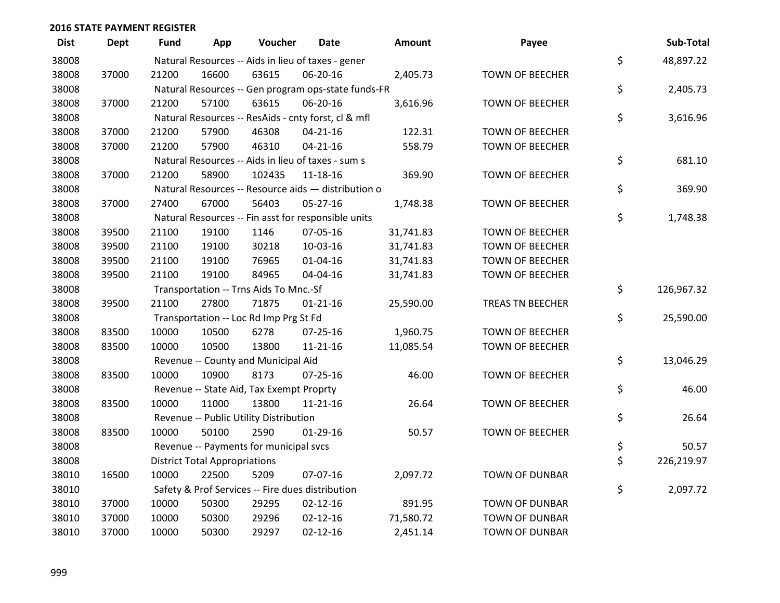| <b>Dist</b> | Dept  | Fund  | App                                  | Voucher                                  | <b>Date</b>                                         | <b>Amount</b> | Payee                   | Sub-Total        |
|-------------|-------|-------|--------------------------------------|------------------------------------------|-----------------------------------------------------|---------------|-------------------------|------------------|
| 38008       |       |       |                                      |                                          | Natural Resources -- Aids in lieu of taxes - gener  |               |                         | \$<br>48,897.22  |
| 38008       | 37000 | 21200 | 16600                                | 63615                                    | 06-20-16                                            | 2,405.73      | <b>TOWN OF BEECHER</b>  |                  |
| 38008       |       |       |                                      |                                          | Natural Resources -- Gen program ops-state funds-FR |               |                         | \$<br>2,405.73   |
| 38008       | 37000 | 21200 | 57100                                | 63615                                    | 06-20-16                                            | 3,616.96      | <b>TOWN OF BEECHER</b>  |                  |
| 38008       |       |       |                                      |                                          | Natural Resources -- ResAids - cnty forst, cl & mfl |               |                         | \$<br>3,616.96   |
| 38008       | 37000 | 21200 | 57900                                | 46308                                    | $04 - 21 - 16$                                      | 122.31        | <b>TOWN OF BEECHER</b>  |                  |
| 38008       | 37000 | 21200 | 57900                                | 46310                                    | $04 - 21 - 16$                                      | 558.79        | <b>TOWN OF BEECHER</b>  |                  |
| 38008       |       |       |                                      |                                          | Natural Resources -- Aids in lieu of taxes - sum s  |               |                         | \$<br>681.10     |
| 38008       | 37000 | 21200 | 58900                                | 102435                                   | 11-18-16                                            | 369.90        | <b>TOWN OF BEECHER</b>  |                  |
| 38008       |       |       |                                      |                                          | Natural Resources -- Resource aids - distribution o |               |                         | \$<br>369.90     |
| 38008       | 37000 | 27400 | 67000                                | 56403                                    | 05-27-16                                            | 1,748.38      | <b>TOWN OF BEECHER</b>  |                  |
| 38008       |       |       |                                      |                                          | Natural Resources -- Fin asst for responsible units |               |                         | \$<br>1,748.38   |
| 38008       | 39500 | 21100 | 19100                                | 1146                                     | 07-05-16                                            | 31,741.83     | <b>TOWN OF BEECHER</b>  |                  |
| 38008       | 39500 | 21100 | 19100                                | 30218                                    | 10-03-16                                            | 31,741.83     | <b>TOWN OF BEECHER</b>  |                  |
| 38008       | 39500 | 21100 | 19100                                | 76965                                    | 01-04-16                                            | 31,741.83     | <b>TOWN OF BEECHER</b>  |                  |
| 38008       | 39500 | 21100 | 19100                                | 84965                                    | 04-04-16                                            | 31,741.83     | <b>TOWN OF BEECHER</b>  |                  |
| 38008       |       |       |                                      | Transportation -- Trns Aids To Mnc.-Sf   |                                                     |               |                         | \$<br>126,967.32 |
| 38008       | 39500 | 21100 | 27800                                | 71875                                    | $01 - 21 - 16$                                      | 25,590.00     | <b>TREAS TN BEECHER</b> |                  |
| 38008       |       |       |                                      | Transportation -- Loc Rd Imp Prg St Fd   |                                                     |               |                         | \$<br>25,590.00  |
| 38008       | 83500 | 10000 | 10500                                | 6278                                     | 07-25-16                                            | 1,960.75      | <b>TOWN OF BEECHER</b>  |                  |
| 38008       | 83500 | 10000 | 10500                                | 13800                                    | $11 - 21 - 16$                                      | 11,085.54     | <b>TOWN OF BEECHER</b>  |                  |
| 38008       |       |       |                                      | Revenue -- County and Municipal Aid      |                                                     |               |                         | \$<br>13,046.29  |
| 38008       | 83500 | 10000 | 10900                                | 8173                                     | $07 - 25 - 16$                                      | 46.00         | <b>TOWN OF BEECHER</b>  |                  |
| 38008       |       |       |                                      | Revenue -- State Aid, Tax Exempt Proprty |                                                     |               |                         | \$<br>46.00      |
| 38008       | 83500 | 10000 | 11000                                | 13800                                    | $11 - 21 - 16$                                      | 26.64         | <b>TOWN OF BEECHER</b>  |                  |
| 38008       |       |       |                                      | Revenue -- Public Utility Distribution   |                                                     |               |                         | \$<br>26.64      |
| 38008       | 83500 | 10000 | 50100                                | 2590                                     | $01-29-16$                                          | 50.57         | <b>TOWN OF BEECHER</b>  |                  |
| 38008       |       |       |                                      | Revenue -- Payments for municipal svcs   |                                                     |               |                         | \$<br>50.57      |
| 38008       |       |       | <b>District Total Appropriations</b> |                                          |                                                     |               |                         | \$<br>226,219.97 |
| 38010       | 16500 | 10000 | 22500                                | 5209                                     | 07-07-16                                            | 2,097.72      | <b>TOWN OF DUNBAR</b>   |                  |
| 38010       |       |       |                                      |                                          | Safety & Prof Services -- Fire dues distribution    |               |                         | \$<br>2,097.72   |
| 38010       | 37000 | 10000 | 50300                                | 29295                                    | $02 - 12 - 16$                                      | 891.95        | <b>TOWN OF DUNBAR</b>   |                  |
| 38010       | 37000 | 10000 | 50300                                | 29296                                    | $02 - 12 - 16$                                      | 71,580.72     | <b>TOWN OF DUNBAR</b>   |                  |
| 38010       | 37000 | 10000 | 50300                                | 29297                                    | $02 - 12 - 16$                                      | 2,451.14      | <b>TOWN OF DUNBAR</b>   |                  |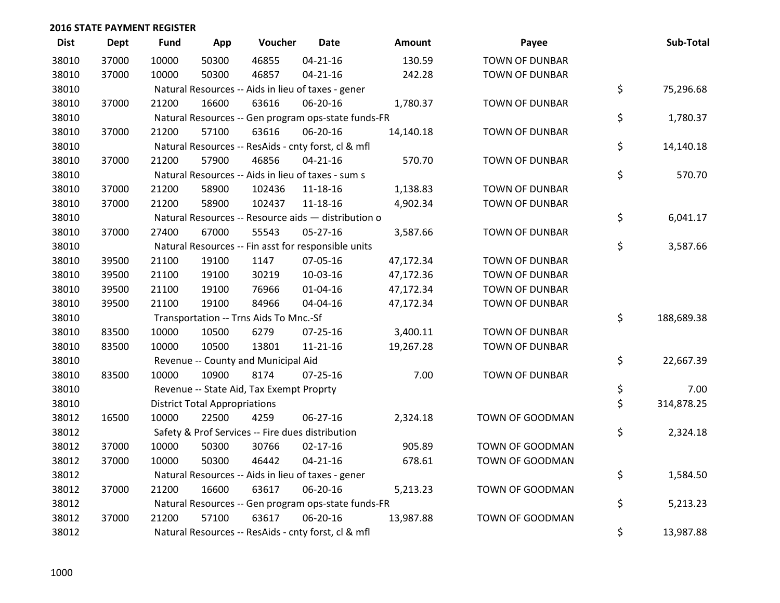| <b>Dist</b> | <b>Dept</b> | <b>Fund</b> | App                                  | Voucher                                             | Date           | Amount    | Payee                 | Sub-Total        |
|-------------|-------------|-------------|--------------------------------------|-----------------------------------------------------|----------------|-----------|-----------------------|------------------|
| 38010       | 37000       | 10000       | 50300                                | 46855                                               | $04 - 21 - 16$ | 130.59    | <b>TOWN OF DUNBAR</b> |                  |
| 38010       | 37000       | 10000       | 50300                                | 46857                                               | $04 - 21 - 16$ | 242.28    | <b>TOWN OF DUNBAR</b> |                  |
| 38010       |             |             |                                      | Natural Resources -- Aids in lieu of taxes - gener  |                |           |                       | \$<br>75,296.68  |
| 38010       | 37000       | 21200       | 16600                                | 63616                                               | 06-20-16       | 1,780.37  | <b>TOWN OF DUNBAR</b> |                  |
| 38010       |             |             |                                      | Natural Resources -- Gen program ops-state funds-FR |                |           |                       | \$<br>1,780.37   |
| 38010       | 37000       | 21200       | 57100                                | 63616                                               | 06-20-16       | 14,140.18 | <b>TOWN OF DUNBAR</b> |                  |
| 38010       |             |             |                                      | Natural Resources -- ResAids - cnty forst, cl & mfl |                |           |                       | \$<br>14,140.18  |
| 38010       | 37000       | 21200       | 57900                                | 46856                                               | $04 - 21 - 16$ | 570.70    | <b>TOWN OF DUNBAR</b> |                  |
| 38010       |             |             |                                      | Natural Resources -- Aids in lieu of taxes - sum s  |                |           |                       | \$<br>570.70     |
| 38010       | 37000       | 21200       | 58900                                | 102436                                              | 11-18-16       | 1,138.83  | <b>TOWN OF DUNBAR</b> |                  |
| 38010       | 37000       | 21200       | 58900                                | 102437                                              | 11-18-16       | 4,902.34  | <b>TOWN OF DUNBAR</b> |                  |
| 38010       |             |             |                                      | Natural Resources -- Resource aids - distribution o |                |           |                       | \$<br>6,041.17   |
| 38010       | 37000       | 27400       | 67000                                | 55543                                               | $05 - 27 - 16$ | 3,587.66  | <b>TOWN OF DUNBAR</b> |                  |
| 38010       |             |             |                                      | Natural Resources -- Fin asst for responsible units |                |           |                       | \$<br>3,587.66   |
| 38010       | 39500       | 21100       | 19100                                | 1147                                                | 07-05-16       | 47,172.34 | <b>TOWN OF DUNBAR</b> |                  |
| 38010       | 39500       | 21100       | 19100                                | 30219                                               | 10-03-16       | 47,172.36 | <b>TOWN OF DUNBAR</b> |                  |
| 38010       | 39500       | 21100       | 19100                                | 76966                                               | $01 - 04 - 16$ | 47,172.34 | <b>TOWN OF DUNBAR</b> |                  |
| 38010       | 39500       | 21100       | 19100                                | 84966                                               | 04-04-16       | 47,172.34 | <b>TOWN OF DUNBAR</b> |                  |
| 38010       |             |             |                                      | Transportation -- Trns Aids To Mnc.-Sf              |                |           |                       | \$<br>188,689.38 |
| 38010       | 83500       | 10000       | 10500                                | 6279                                                | $07 - 25 - 16$ | 3,400.11  | <b>TOWN OF DUNBAR</b> |                  |
| 38010       | 83500       | 10000       | 10500                                | 13801                                               | $11 - 21 - 16$ | 19,267.28 | <b>TOWN OF DUNBAR</b> |                  |
| 38010       |             |             |                                      | Revenue -- County and Municipal Aid                 |                |           |                       | \$<br>22,667.39  |
| 38010       | 83500       | 10000       | 10900                                | 8174                                                | $07 - 25 - 16$ | 7.00      | <b>TOWN OF DUNBAR</b> |                  |
| 38010       |             |             |                                      | Revenue -- State Aid, Tax Exempt Proprty            |                |           |                       | \$<br>7.00       |
| 38010       |             |             | <b>District Total Appropriations</b> |                                                     |                |           |                       | \$<br>314,878.25 |
| 38012       | 16500       | 10000       | 22500                                | 4259                                                | 06-27-16       | 2,324.18  | TOWN OF GOODMAN       |                  |
| 38012       |             |             |                                      | Safety & Prof Services -- Fire dues distribution    |                |           |                       | \$<br>2,324.18   |
| 38012       | 37000       | 10000       | 50300                                | 30766                                               | $02 - 17 - 16$ | 905.89    | TOWN OF GOODMAN       |                  |
| 38012       | 37000       | 10000       | 50300                                | 46442                                               | $04 - 21 - 16$ | 678.61    | TOWN OF GOODMAN       |                  |
| 38012       |             |             |                                      | Natural Resources -- Aids in lieu of taxes - gener  |                |           |                       | \$<br>1,584.50   |
| 38012       | 37000       | 21200       | 16600                                | 63617                                               | 06-20-16       | 5,213.23  | TOWN OF GOODMAN       |                  |
| 38012       |             |             |                                      | Natural Resources -- Gen program ops-state funds-FR |                |           |                       | \$<br>5,213.23   |
| 38012       | 37000       | 21200       | 57100                                | 63617                                               | 06-20-16       | 13,987.88 | TOWN OF GOODMAN       |                  |
| 38012       |             |             |                                      | Natural Resources -- ResAids - cnty forst, cl & mfl |                |           |                       | \$<br>13,987.88  |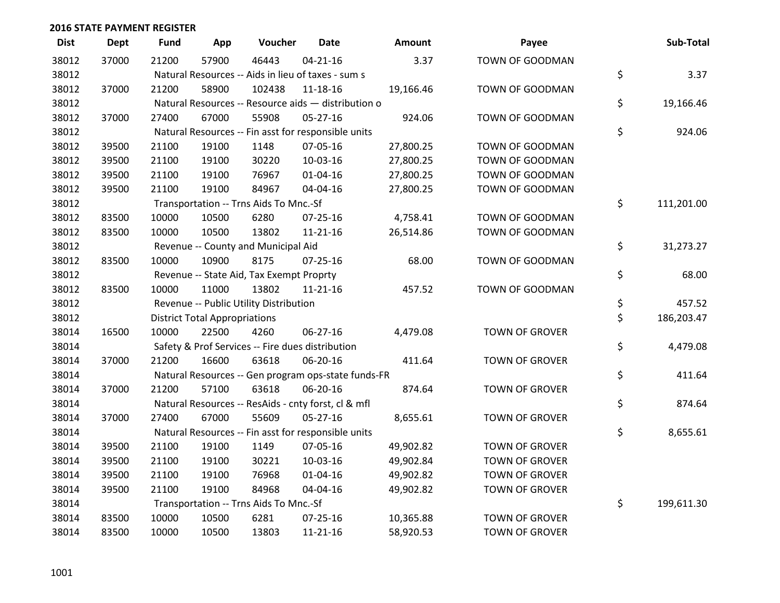| <b>Dist</b> | Dept  | <b>Fund</b> | App                                  | Voucher                                             | <b>Date</b>    | Amount    | Payee                 | Sub-Total        |
|-------------|-------|-------------|--------------------------------------|-----------------------------------------------------|----------------|-----------|-----------------------|------------------|
| 38012       | 37000 | 21200       | 57900                                | 46443                                               | $04 - 21 - 16$ | 3.37      | TOWN OF GOODMAN       |                  |
| 38012       |       |             |                                      | Natural Resources -- Aids in lieu of taxes - sum s  |                |           |                       | \$<br>3.37       |
| 38012       | 37000 | 21200       | 58900                                | 102438                                              | 11-18-16       | 19,166.46 | TOWN OF GOODMAN       |                  |
| 38012       |       |             |                                      | Natural Resources -- Resource aids - distribution o |                |           |                       | \$<br>19,166.46  |
| 38012       | 37000 | 27400       | 67000                                | 55908                                               | 05-27-16       | 924.06    | TOWN OF GOODMAN       |                  |
| 38012       |       |             |                                      | Natural Resources -- Fin asst for responsible units |                |           |                       | \$<br>924.06     |
| 38012       | 39500 | 21100       | 19100                                | 1148                                                | 07-05-16       | 27,800.25 | TOWN OF GOODMAN       |                  |
| 38012       | 39500 | 21100       | 19100                                | 30220                                               | 10-03-16       | 27,800.25 | TOWN OF GOODMAN       |                  |
| 38012       | 39500 | 21100       | 19100                                | 76967                                               | $01 - 04 - 16$ | 27,800.25 | TOWN OF GOODMAN       |                  |
| 38012       | 39500 | 21100       | 19100                                | 84967                                               | 04-04-16       | 27,800.25 | TOWN OF GOODMAN       |                  |
| 38012       |       |             |                                      | Transportation -- Trns Aids To Mnc.-Sf              |                |           |                       | \$<br>111,201.00 |
| 38012       | 83500 | 10000       | 10500                                | 6280                                                | $07 - 25 - 16$ | 4,758.41  | TOWN OF GOODMAN       |                  |
| 38012       | 83500 | 10000       | 10500                                | 13802                                               | 11-21-16       | 26,514.86 | TOWN OF GOODMAN       |                  |
| 38012       |       |             |                                      | Revenue -- County and Municipal Aid                 |                |           |                       | \$<br>31,273.27  |
| 38012       | 83500 | 10000       | 10900                                | 8175                                                | $07 - 25 - 16$ | 68.00     | TOWN OF GOODMAN       |                  |
| 38012       |       |             |                                      | Revenue -- State Aid, Tax Exempt Proprty            |                |           |                       | \$<br>68.00      |
| 38012       | 83500 | 10000       | 11000                                | 13802                                               | 11-21-16       | 457.52    | TOWN OF GOODMAN       |                  |
| 38012       |       |             |                                      | Revenue -- Public Utility Distribution              |                |           |                       | \$<br>457.52     |
| 38012       |       |             | <b>District Total Appropriations</b> |                                                     |                |           |                       | \$<br>186,203.47 |
| 38014       | 16500 | 10000       | 22500                                | 4260                                                | 06-27-16       | 4,479.08  | TOWN OF GROVER        |                  |
| 38014       |       |             |                                      | Safety & Prof Services -- Fire dues distribution    |                |           |                       | \$<br>4,479.08   |
| 38014       | 37000 | 21200       | 16600                                | 63618                                               | 06-20-16       | 411.64    | TOWN OF GROVER        |                  |
| 38014       |       |             |                                      | Natural Resources -- Gen program ops-state funds-FR |                |           |                       | \$<br>411.64     |
| 38014       | 37000 | 21200       | 57100                                | 63618                                               | 06-20-16       | 874.64    | <b>TOWN OF GROVER</b> |                  |
| 38014       |       |             |                                      | Natural Resources -- ResAids - cnty forst, cl & mfl |                |           |                       | \$<br>874.64     |
| 38014       | 37000 | 27400       | 67000                                | 55609                                               | $05-27-16$     | 8,655.61  | <b>TOWN OF GROVER</b> |                  |
| 38014       |       |             |                                      | Natural Resources -- Fin asst for responsible units |                |           |                       | \$<br>8,655.61   |
| 38014       | 39500 | 21100       | 19100                                | 1149                                                | 07-05-16       | 49,902.82 | <b>TOWN OF GROVER</b> |                  |
| 38014       | 39500 | 21100       | 19100                                | 30221                                               | 10-03-16       | 49,902.84 | <b>TOWN OF GROVER</b> |                  |
| 38014       | 39500 | 21100       | 19100                                | 76968                                               | $01 - 04 - 16$ | 49,902.82 | <b>TOWN OF GROVER</b> |                  |
| 38014       | 39500 | 21100       | 19100                                | 84968                                               | 04-04-16       | 49,902.82 | <b>TOWN OF GROVER</b> |                  |
| 38014       |       |             |                                      | Transportation -- Trns Aids To Mnc.-Sf              |                |           |                       | \$<br>199,611.30 |
| 38014       | 83500 | 10000       | 10500                                | 6281                                                | 07-25-16       | 10,365.88 | <b>TOWN OF GROVER</b> |                  |
| 38014       | 83500 | 10000       | 10500                                | 13803                                               | 11-21-16       | 58,920.53 | <b>TOWN OF GROVER</b> |                  |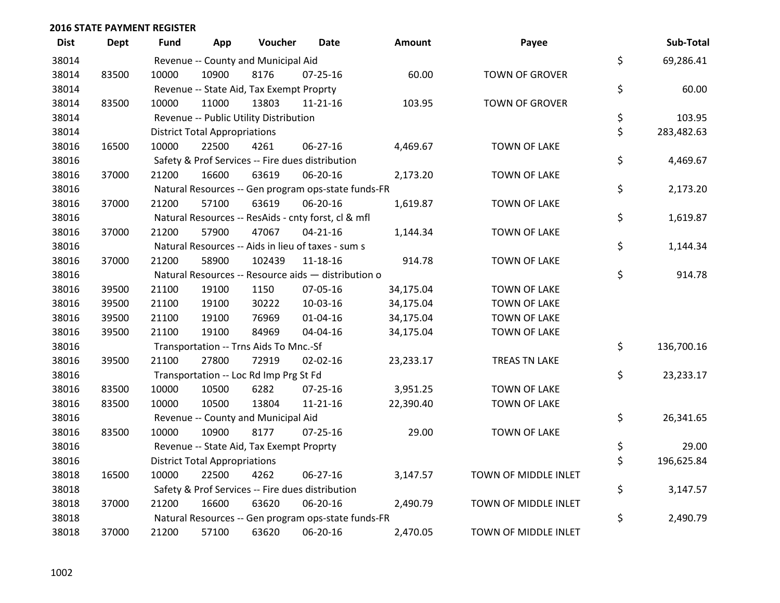| <b>Dist</b> | <b>Dept</b> | Fund  | App                                  | Voucher                                  | <b>Date</b>                                         | <b>Amount</b> | Payee                 | Sub-Total        |
|-------------|-------------|-------|--------------------------------------|------------------------------------------|-----------------------------------------------------|---------------|-----------------------|------------------|
| 38014       |             |       |                                      | Revenue -- County and Municipal Aid      |                                                     |               |                       | \$<br>69,286.41  |
| 38014       | 83500       | 10000 | 10900                                | 8176                                     | $07 - 25 - 16$                                      | 60.00         | <b>TOWN OF GROVER</b> |                  |
| 38014       |             |       |                                      | Revenue -- State Aid, Tax Exempt Proprty |                                                     |               |                       | \$<br>60.00      |
| 38014       | 83500       | 10000 | 11000                                | 13803                                    | $11 - 21 - 16$                                      | 103.95        | <b>TOWN OF GROVER</b> |                  |
| 38014       |             |       |                                      | Revenue -- Public Utility Distribution   |                                                     |               |                       | \$<br>103.95     |
| 38014       |             |       | <b>District Total Appropriations</b> |                                          |                                                     |               |                       | \$<br>283,482.63 |
| 38016       | 16500       | 10000 | 22500                                | 4261                                     | 06-27-16                                            | 4,469.67      | TOWN OF LAKE          |                  |
| 38016       |             |       |                                      |                                          | Safety & Prof Services -- Fire dues distribution    |               |                       | \$<br>4,469.67   |
| 38016       | 37000       | 21200 | 16600                                | 63619                                    | 06-20-16                                            | 2,173.20      | <b>TOWN OF LAKE</b>   |                  |
| 38016       |             |       |                                      |                                          | Natural Resources -- Gen program ops-state funds-FR |               |                       | \$<br>2,173.20   |
| 38016       | 37000       | 21200 | 57100                                | 63619                                    | 06-20-16                                            | 1,619.87      | <b>TOWN OF LAKE</b>   |                  |
| 38016       |             |       |                                      |                                          | Natural Resources -- ResAids - cnty forst, cl & mfl |               |                       | \$<br>1,619.87   |
| 38016       | 37000       | 21200 | 57900                                | 47067                                    | $04 - 21 - 16$                                      | 1,144.34      | <b>TOWN OF LAKE</b>   |                  |
| 38016       |             |       |                                      |                                          | Natural Resources -- Aids in lieu of taxes - sum s  |               |                       | \$<br>1,144.34   |
| 38016       | 37000       | 21200 | 58900                                | 102439                                   | $11 - 18 - 16$                                      | 914.78        | <b>TOWN OF LAKE</b>   |                  |
| 38016       |             |       |                                      |                                          | Natural Resources -- Resource aids - distribution o |               |                       | \$<br>914.78     |
| 38016       | 39500       | 21100 | 19100                                | 1150                                     | 07-05-16                                            | 34,175.04     | <b>TOWN OF LAKE</b>   |                  |
| 38016       | 39500       | 21100 | 19100                                | 30222                                    | 10-03-16                                            | 34,175.04     | <b>TOWN OF LAKE</b>   |                  |
| 38016       | 39500       | 21100 | 19100                                | 76969                                    | $01 - 04 - 16$                                      | 34,175.04     | <b>TOWN OF LAKE</b>   |                  |
| 38016       | 39500       | 21100 | 19100                                | 84969                                    | 04-04-16                                            | 34,175.04     | <b>TOWN OF LAKE</b>   |                  |
| 38016       |             |       |                                      | Transportation -- Trns Aids To Mnc.-Sf   |                                                     |               |                       | \$<br>136,700.16 |
| 38016       | 39500       | 21100 | 27800                                | 72919                                    | $02 - 02 - 16$                                      | 23,233.17     | <b>TREAS TN LAKE</b>  |                  |
| 38016       |             |       |                                      | Transportation -- Loc Rd Imp Prg St Fd   |                                                     |               |                       | \$<br>23,233.17  |
| 38016       | 83500       | 10000 | 10500                                | 6282                                     | $07 - 25 - 16$                                      | 3,951.25      | TOWN OF LAKE          |                  |
| 38016       | 83500       | 10000 | 10500                                | 13804                                    | $11 - 21 - 16$                                      | 22,390.40     | <b>TOWN OF LAKE</b>   |                  |
| 38016       |             |       |                                      | Revenue -- County and Municipal Aid      |                                                     |               |                       | \$<br>26,341.65  |
| 38016       | 83500       | 10000 | 10900                                | 8177                                     | $07 - 25 - 16$                                      | 29.00         | <b>TOWN OF LAKE</b>   |                  |
| 38016       |             |       |                                      | Revenue -- State Aid, Tax Exempt Proprty |                                                     |               |                       | \$<br>29.00      |
| 38016       |             |       | <b>District Total Appropriations</b> |                                          |                                                     |               |                       | \$<br>196,625.84 |
| 38018       | 16500       | 10000 | 22500                                | 4262                                     | $06 - 27 - 16$                                      | 3,147.57      | TOWN OF MIDDLE INLET  |                  |
| 38018       |             |       |                                      |                                          | Safety & Prof Services -- Fire dues distribution    |               |                       | \$<br>3,147.57   |
| 38018       | 37000       | 21200 | 16600                                | 63620                                    | 06-20-16                                            | 2,490.79      | TOWN OF MIDDLE INLET  |                  |
| 38018       |             |       |                                      |                                          | Natural Resources -- Gen program ops-state funds-FR |               |                       | \$<br>2,490.79   |
| 38018       | 37000       | 21200 | 57100                                | 63620                                    | 06-20-16                                            | 2,470.05      | TOWN OF MIDDLE INLET  |                  |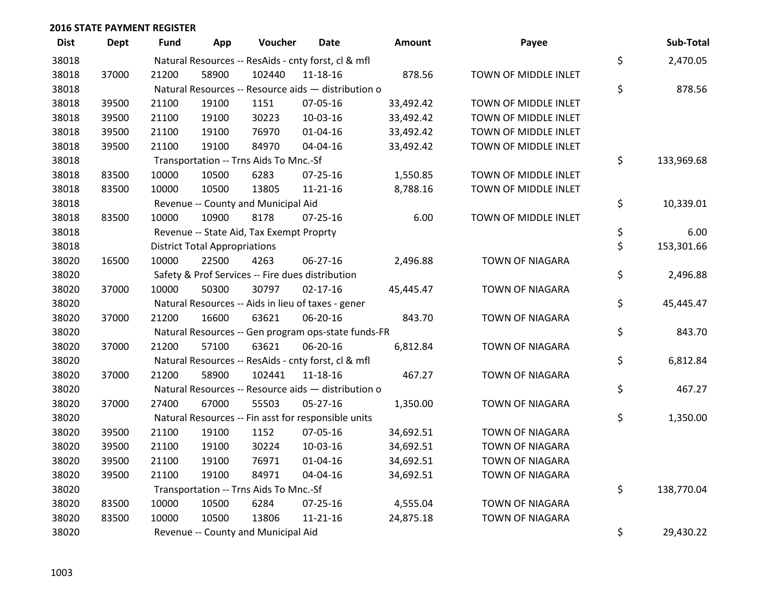| <b>Dist</b> | <b>Dept</b> | <b>Fund</b> | App                                  | Voucher                                  | <b>Date</b>                                         | Amount    | Payee                  | Sub-Total        |
|-------------|-------------|-------------|--------------------------------------|------------------------------------------|-----------------------------------------------------|-----------|------------------------|------------------|
| 38018       |             |             |                                      |                                          | Natural Resources -- ResAids - cnty forst, cl & mfl |           |                        | \$<br>2,470.05   |
| 38018       | 37000       | 21200       | 58900                                | 102440                                   | $11 - 18 - 16$                                      | 878.56    | TOWN OF MIDDLE INLET   |                  |
| 38018       |             |             |                                      |                                          | Natural Resources -- Resource aids - distribution o |           |                        | \$<br>878.56     |
| 38018       | 39500       | 21100       | 19100                                | 1151                                     | 07-05-16                                            | 33,492.42 | TOWN OF MIDDLE INLET   |                  |
| 38018       | 39500       | 21100       | 19100                                | 30223                                    | 10-03-16                                            | 33,492.42 | TOWN OF MIDDLE INLET   |                  |
| 38018       | 39500       | 21100       | 19100                                | 76970                                    | $01 - 04 - 16$                                      | 33,492.42 | TOWN OF MIDDLE INLET   |                  |
| 38018       | 39500       | 21100       | 19100                                | 84970                                    | 04-04-16                                            | 33,492.42 | TOWN OF MIDDLE INLET   |                  |
| 38018       |             |             |                                      | Transportation -- Trns Aids To Mnc.-Sf   |                                                     |           |                        | \$<br>133,969.68 |
| 38018       | 83500       | 10000       | 10500                                | 6283                                     | $07 - 25 - 16$                                      | 1,550.85  | TOWN OF MIDDLE INLET   |                  |
| 38018       | 83500       | 10000       | 10500                                | 13805                                    | $11 - 21 - 16$                                      | 8,788.16  | TOWN OF MIDDLE INLET   |                  |
| 38018       |             |             |                                      | Revenue -- County and Municipal Aid      |                                                     |           |                        | \$<br>10,339.01  |
| 38018       | 83500       | 10000       | 10900                                | 8178                                     | $07 - 25 - 16$                                      | 6.00      | TOWN OF MIDDLE INLET   |                  |
| 38018       |             |             |                                      | Revenue -- State Aid, Tax Exempt Proprty |                                                     |           |                        | \$<br>6.00       |
| 38018       |             |             | <b>District Total Appropriations</b> |                                          |                                                     |           |                        | \$<br>153,301.66 |
| 38020       | 16500       | 10000       | 22500                                | 4263                                     | 06-27-16                                            | 2,496.88  | TOWN OF NIAGARA        |                  |
| 38020       |             |             |                                      |                                          | Safety & Prof Services -- Fire dues distribution    |           |                        | \$<br>2,496.88   |
| 38020       | 37000       | 10000       | 50300                                | 30797                                    | $02 - 17 - 16$                                      | 45,445.47 | <b>TOWN OF NIAGARA</b> |                  |
| 38020       |             |             |                                      |                                          | Natural Resources -- Aids in lieu of taxes - gener  |           |                        | \$<br>45,445.47  |
| 38020       | 37000       | 21200       | 16600                                | 63621                                    | 06-20-16                                            | 843.70    | TOWN OF NIAGARA        |                  |
| 38020       |             |             |                                      |                                          | Natural Resources -- Gen program ops-state funds-FR |           |                        | \$<br>843.70     |
| 38020       | 37000       | 21200       | 57100                                | 63621                                    | 06-20-16                                            | 6,812.84  | <b>TOWN OF NIAGARA</b> |                  |
| 38020       |             |             |                                      |                                          | Natural Resources -- ResAids - cnty forst, cl & mfl |           |                        | \$<br>6,812.84   |
| 38020       | 37000       | 21200       | 58900                                | 102441                                   | 11-18-16                                            | 467.27    | <b>TOWN OF NIAGARA</b> |                  |
| 38020       |             |             |                                      |                                          | Natural Resources -- Resource aids - distribution o |           |                        | \$<br>467.27     |
| 38020       | 37000       | 27400       | 67000                                | 55503                                    | $05 - 27 - 16$                                      | 1,350.00  | <b>TOWN OF NIAGARA</b> |                  |
| 38020       |             |             |                                      |                                          | Natural Resources -- Fin asst for responsible units |           |                        | \$<br>1,350.00   |
| 38020       | 39500       | 21100       | 19100                                | 1152                                     | 07-05-16                                            | 34,692.51 | TOWN OF NIAGARA        |                  |
| 38020       | 39500       | 21100       | 19100                                | 30224                                    | 10-03-16                                            | 34,692.51 | <b>TOWN OF NIAGARA</b> |                  |
| 38020       | 39500       | 21100       | 19100                                | 76971                                    | $01 - 04 - 16$                                      | 34,692.51 | <b>TOWN OF NIAGARA</b> |                  |
| 38020       | 39500       | 21100       | 19100                                | 84971                                    | 04-04-16                                            | 34,692.51 | TOWN OF NIAGARA        |                  |
| 38020       |             |             |                                      | Transportation -- Trns Aids To Mnc.-Sf   |                                                     |           |                        | \$<br>138,770.04 |
| 38020       | 83500       | 10000       | 10500                                | 6284                                     | 07-25-16                                            | 4,555.04  | <b>TOWN OF NIAGARA</b> |                  |
| 38020       | 83500       | 10000       | 10500                                | 13806                                    | $11 - 21 - 16$                                      | 24,875.18 | <b>TOWN OF NIAGARA</b> |                  |
| 38020       |             |             |                                      | Revenue -- County and Municipal Aid      |                                                     |           |                        | \$<br>29,430.22  |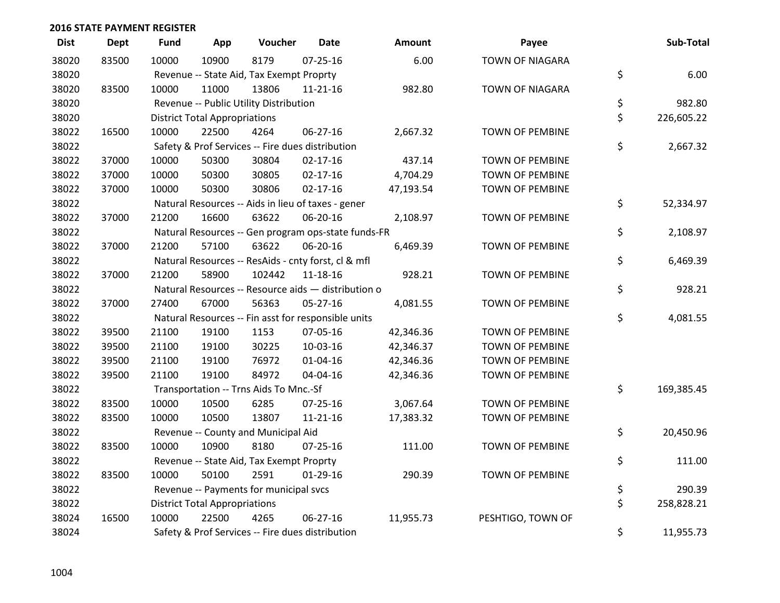| <b>Dist</b> | <b>Dept</b> | <b>Fund</b> | App                                  | Voucher                                          | <b>Date</b>                                         | Amount    | Payee                  | Sub-Total        |
|-------------|-------------|-------------|--------------------------------------|--------------------------------------------------|-----------------------------------------------------|-----------|------------------------|------------------|
| 38020       | 83500       | 10000       | 10900                                | 8179                                             | $07 - 25 - 16$                                      | 6.00      | <b>TOWN OF NIAGARA</b> |                  |
| 38020       |             |             |                                      | Revenue -- State Aid, Tax Exempt Proprty         |                                                     |           |                        | \$<br>6.00       |
| 38020       | 83500       | 10000       | 11000                                | 13806                                            | $11 - 21 - 16$                                      | 982.80    | TOWN OF NIAGARA        |                  |
| 38020       |             |             |                                      | Revenue -- Public Utility Distribution           |                                                     |           |                        | \$<br>982.80     |
| 38020       |             |             | <b>District Total Appropriations</b> |                                                  |                                                     |           |                        | \$<br>226,605.22 |
| 38022       | 16500       | 10000       | 22500                                | 4264                                             | 06-27-16                                            | 2,667.32  | <b>TOWN OF PEMBINE</b> |                  |
| 38022       |             |             |                                      | Safety & Prof Services -- Fire dues distribution |                                                     |           |                        | \$<br>2,667.32   |
| 38022       | 37000       | 10000       | 50300                                | 30804                                            | $02 - 17 - 16$                                      | 437.14    | <b>TOWN OF PEMBINE</b> |                  |
| 38022       | 37000       | 10000       | 50300                                | 30805                                            | $02 - 17 - 16$                                      | 4,704.29  | <b>TOWN OF PEMBINE</b> |                  |
| 38022       | 37000       | 10000       | 50300                                | 30806                                            | $02 - 17 - 16$                                      | 47,193.54 | TOWN OF PEMBINE        |                  |
| 38022       |             |             |                                      |                                                  | Natural Resources -- Aids in lieu of taxes - gener  |           |                        | \$<br>52,334.97  |
| 38022       | 37000       | 21200       | 16600                                | 63622                                            | 06-20-16                                            | 2,108.97  | TOWN OF PEMBINE        |                  |
| 38022       |             |             |                                      |                                                  | Natural Resources -- Gen program ops-state funds-FR |           |                        | \$<br>2,108.97   |
| 38022       | 37000       | 21200       | 57100                                | 63622                                            | 06-20-16                                            | 6,469.39  | TOWN OF PEMBINE        |                  |
| 38022       |             |             |                                      |                                                  | Natural Resources -- ResAids - cnty forst, cl & mfl |           |                        | \$<br>6,469.39   |
| 38022       | 37000       | 21200       | 58900                                | 102442                                           | 11-18-16                                            | 928.21    | <b>TOWN OF PEMBINE</b> |                  |
| 38022       |             |             |                                      |                                                  | Natural Resources -- Resource aids - distribution o |           |                        | \$<br>928.21     |
| 38022       | 37000       | 27400       | 67000                                | 56363                                            | 05-27-16                                            | 4,081.55  | TOWN OF PEMBINE        |                  |
| 38022       |             |             |                                      |                                                  | Natural Resources -- Fin asst for responsible units |           |                        | \$<br>4,081.55   |
| 38022       | 39500       | 21100       | 19100                                | 1153                                             | 07-05-16                                            | 42,346.36 | <b>TOWN OF PEMBINE</b> |                  |
| 38022       | 39500       | 21100       | 19100                                | 30225                                            | 10-03-16                                            | 42,346.37 | <b>TOWN OF PEMBINE</b> |                  |
| 38022       | 39500       | 21100       | 19100                                | 76972                                            | $01 - 04 - 16$                                      | 42,346.36 | <b>TOWN OF PEMBINE</b> |                  |
| 38022       | 39500       | 21100       | 19100                                | 84972                                            | 04-04-16                                            | 42,346.36 | TOWN OF PEMBINE        |                  |
| 38022       |             |             |                                      | Transportation -- Trns Aids To Mnc.-Sf           |                                                     |           |                        | \$<br>169,385.45 |
| 38022       | 83500       | 10000       | 10500                                | 6285                                             | $07 - 25 - 16$                                      | 3,067.64  | <b>TOWN OF PEMBINE</b> |                  |
| 38022       | 83500       | 10000       | 10500                                | 13807                                            | 11-21-16                                            | 17,383.32 | TOWN OF PEMBINE        |                  |
| 38022       |             |             |                                      | Revenue -- County and Municipal Aid              |                                                     |           |                        | \$<br>20,450.96  |
| 38022       | 83500       | 10000       | 10900                                | 8180                                             | $07 - 25 - 16$                                      | 111.00    | <b>TOWN OF PEMBINE</b> |                  |
| 38022       |             |             |                                      | Revenue -- State Aid, Tax Exempt Proprty         |                                                     |           |                        | \$<br>111.00     |
| 38022       | 83500       | 10000       | 50100                                | 2591                                             | $01-29-16$                                          | 290.39    | TOWN OF PEMBINE        |                  |
| 38022       |             |             |                                      | Revenue -- Payments for municipal svcs           |                                                     |           |                        | \$<br>290.39     |
| 38022       |             |             | <b>District Total Appropriations</b> |                                                  |                                                     |           |                        | \$<br>258,828.21 |
| 38024       | 16500       | 10000       | 22500                                | 4265                                             | 06-27-16                                            | 11,955.73 | PESHTIGO, TOWN OF      |                  |
| 38024       |             |             |                                      | Safety & Prof Services -- Fire dues distribution |                                                     |           |                        | \$<br>11,955.73  |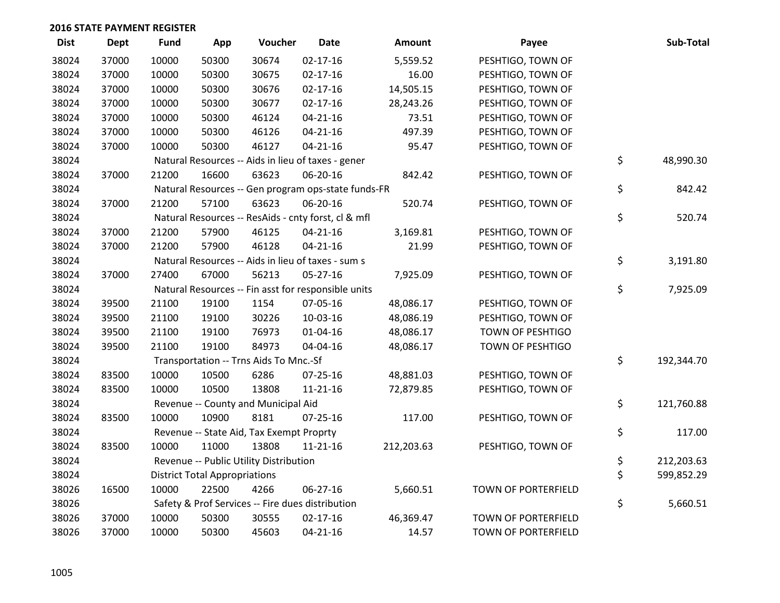| <b>Dist</b> | <b>Dept</b> | <b>Fund</b> | App                                  | Voucher                                             | <b>Date</b>    | <b>Amount</b> | Payee                      | Sub-Total        |
|-------------|-------------|-------------|--------------------------------------|-----------------------------------------------------|----------------|---------------|----------------------------|------------------|
| 38024       | 37000       | 10000       | 50300                                | 30674                                               | $02 - 17 - 16$ | 5,559.52      | PESHTIGO, TOWN OF          |                  |
| 38024       | 37000       | 10000       | 50300                                | 30675                                               | $02 - 17 - 16$ | 16.00         | PESHTIGO, TOWN OF          |                  |
| 38024       | 37000       | 10000       | 50300                                | 30676                                               | $02 - 17 - 16$ | 14,505.15     | PESHTIGO, TOWN OF          |                  |
| 38024       | 37000       | 10000       | 50300                                | 30677                                               | $02 - 17 - 16$ | 28,243.26     | PESHTIGO, TOWN OF          |                  |
| 38024       | 37000       | 10000       | 50300                                | 46124                                               | $04 - 21 - 16$ | 73.51         | PESHTIGO, TOWN OF          |                  |
| 38024       | 37000       | 10000       | 50300                                | 46126                                               | $04 - 21 - 16$ | 497.39        | PESHTIGO, TOWN OF          |                  |
| 38024       | 37000       | 10000       | 50300                                | 46127                                               | $04 - 21 - 16$ | 95.47         | PESHTIGO, TOWN OF          |                  |
| 38024       |             |             |                                      | Natural Resources -- Aids in lieu of taxes - gener  |                |               |                            | \$<br>48,990.30  |
| 38024       | 37000       | 21200       | 16600                                | 63623                                               | 06-20-16       | 842.42        | PESHTIGO, TOWN OF          |                  |
| 38024       |             |             |                                      | Natural Resources -- Gen program ops-state funds-FR |                |               |                            | \$<br>842.42     |
| 38024       | 37000       | 21200       | 57100                                | 63623                                               | 06-20-16       | 520.74        | PESHTIGO, TOWN OF          |                  |
| 38024       |             |             |                                      | Natural Resources -- ResAids - cnty forst, cl & mfl |                |               |                            | \$<br>520.74     |
| 38024       | 37000       | 21200       | 57900                                | 46125                                               | $04 - 21 - 16$ | 3,169.81      | PESHTIGO, TOWN OF          |                  |
| 38024       | 37000       | 21200       | 57900                                | 46128                                               | $04 - 21 - 16$ | 21.99         | PESHTIGO, TOWN OF          |                  |
| 38024       |             |             |                                      | Natural Resources -- Aids in lieu of taxes - sum s  |                |               |                            | \$<br>3,191.80   |
| 38024       | 37000       | 27400       | 67000                                | 56213                                               | 05-27-16       | 7,925.09      | PESHTIGO, TOWN OF          |                  |
| 38024       |             |             |                                      | Natural Resources -- Fin asst for responsible units |                |               |                            | \$<br>7,925.09   |
| 38024       | 39500       | 21100       | 19100                                | 1154                                                | 07-05-16       | 48,086.17     | PESHTIGO, TOWN OF          |                  |
| 38024       | 39500       | 21100       | 19100                                | 30226                                               | 10-03-16       | 48,086.19     | PESHTIGO, TOWN OF          |                  |
| 38024       | 39500       | 21100       | 19100                                | 76973                                               | 01-04-16       | 48,086.17     | TOWN OF PESHTIGO           |                  |
| 38024       | 39500       | 21100       | 19100                                | 84973                                               | 04-04-16       | 48,086.17     | TOWN OF PESHTIGO           |                  |
| 38024       |             |             |                                      | Transportation -- Trns Aids To Mnc.-Sf              |                |               |                            | \$<br>192,344.70 |
| 38024       | 83500       | 10000       | 10500                                | 6286                                                | 07-25-16       | 48,881.03     | PESHTIGO, TOWN OF          |                  |
| 38024       | 83500       | 10000       | 10500                                | 13808                                               | $11 - 21 - 16$ | 72,879.85     | PESHTIGO, TOWN OF          |                  |
| 38024       |             |             |                                      | Revenue -- County and Municipal Aid                 |                |               |                            | \$<br>121,760.88 |
| 38024       | 83500       | 10000       | 10900                                | 8181                                                | $07 - 25 - 16$ | 117.00        | PESHTIGO, TOWN OF          |                  |
| 38024       |             |             |                                      | Revenue -- State Aid, Tax Exempt Proprty            |                |               |                            | \$<br>117.00     |
| 38024       | 83500       | 10000       | 11000                                | 13808                                               | $11 - 21 - 16$ | 212,203.63    | PESHTIGO, TOWN OF          |                  |
| 38024       |             |             |                                      | Revenue -- Public Utility Distribution              |                |               |                            | \$<br>212,203.63 |
| 38024       |             |             | <b>District Total Appropriations</b> |                                                     |                |               |                            | \$<br>599,852.29 |
| 38026       | 16500       | 10000       | 22500                                | 4266                                                | 06-27-16       | 5,660.51      | TOWN OF PORTERFIELD        |                  |
| 38026       |             |             |                                      | Safety & Prof Services -- Fire dues distribution    |                |               |                            | \$<br>5,660.51   |
| 38026       | 37000       | 10000       | 50300                                | 30555                                               | $02 - 17 - 16$ | 46,369.47     | TOWN OF PORTERFIELD        |                  |
| 38026       | 37000       | 10000       | 50300                                | 45603                                               | $04 - 21 - 16$ | 14.57         | <b>TOWN OF PORTERFIELD</b> |                  |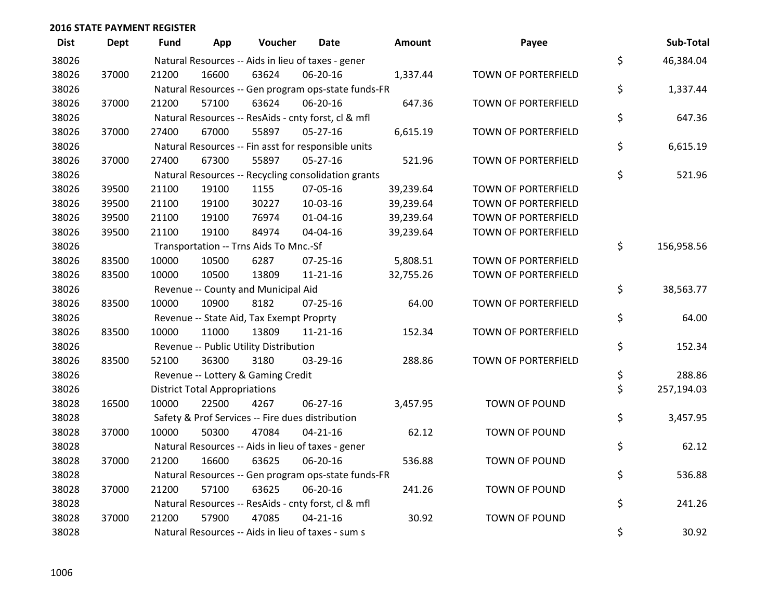| <b>Dist</b> | <b>Dept</b> | Fund  | App                                  | Voucher                                             | Date           | <b>Amount</b> | Payee                | Sub-Total        |
|-------------|-------------|-------|--------------------------------------|-----------------------------------------------------|----------------|---------------|----------------------|------------------|
| 38026       |             |       |                                      | Natural Resources -- Aids in lieu of taxes - gener  |                |               |                      | \$<br>46,384.04  |
| 38026       | 37000       | 21200 | 16600                                | 63624                                               | 06-20-16       | 1,337.44      | TOWN OF PORTERFIELD  |                  |
| 38026       |             |       |                                      | Natural Resources -- Gen program ops-state funds-FR |                |               |                      | \$<br>1,337.44   |
| 38026       | 37000       | 21200 | 57100                                | 63624                                               | 06-20-16       | 647.36        | TOWN OF PORTERFIELD  |                  |
| 38026       |             |       |                                      | Natural Resources -- ResAids - cnty forst, cl & mfl |                |               |                      | \$<br>647.36     |
| 38026       | 37000       | 27400 | 67000                                | 55897                                               | $05-27-16$     | 6,615.19      | TOWN OF PORTERFIELD  |                  |
| 38026       |             |       |                                      | Natural Resources -- Fin asst for responsible units |                |               |                      | \$<br>6,615.19   |
| 38026       | 37000       | 27400 | 67300                                | 55897                                               | 05-27-16       | 521.96        | TOWN OF PORTERFIELD  |                  |
| 38026       |             |       |                                      | Natural Resources -- Recycling consolidation grants |                |               |                      | \$<br>521.96     |
| 38026       | 39500       | 21100 | 19100                                | 1155                                                | 07-05-16       | 39,239.64     | TOWN OF PORTERFIELD  |                  |
| 38026       | 39500       | 21100 | 19100                                | 30227                                               | 10-03-16       | 39,239.64     | TOWN OF PORTERFIELD  |                  |
| 38026       | 39500       | 21100 | 19100                                | 76974                                               | $01 - 04 - 16$ | 39,239.64     | TOWN OF PORTERFIELD  |                  |
| 38026       | 39500       | 21100 | 19100                                | 84974                                               | 04-04-16       | 39,239.64     | TOWN OF PORTERFIELD  |                  |
| 38026       |             |       |                                      | Transportation -- Trns Aids To Mnc.-Sf              |                |               |                      | \$<br>156,958.56 |
| 38026       | 83500       | 10000 | 10500                                | 6287                                                | $07 - 25 - 16$ | 5,808.51      | TOWN OF PORTERFIELD  |                  |
| 38026       | 83500       | 10000 | 10500                                | 13809                                               | $11 - 21 - 16$ | 32,755.26     | TOWN OF PORTERFIELD  |                  |
| 38026       |             |       |                                      | Revenue -- County and Municipal Aid                 |                |               |                      | \$<br>38,563.77  |
| 38026       | 83500       | 10000 | 10900                                | 8182                                                | $07 - 25 - 16$ | 64.00         | TOWN OF PORTERFIELD  |                  |
| 38026       |             |       |                                      | Revenue -- State Aid, Tax Exempt Proprty            |                |               |                      | \$<br>64.00      |
| 38026       | 83500       | 10000 | 11000                                | 13809                                               | $11 - 21 - 16$ | 152.34        | TOWN OF PORTERFIELD  |                  |
| 38026       |             |       |                                      | Revenue -- Public Utility Distribution              |                |               |                      | \$<br>152.34     |
| 38026       | 83500       | 52100 | 36300                                | 3180                                                | 03-29-16       | 288.86        | TOWN OF PORTERFIELD  |                  |
| 38026       |             |       |                                      | Revenue -- Lottery & Gaming Credit                  |                |               |                      | \$<br>288.86     |
| 38026       |             |       | <b>District Total Appropriations</b> |                                                     |                |               |                      | \$<br>257,194.03 |
| 38028       | 16500       | 10000 | 22500                                | 4267                                                | 06-27-16       | 3,457.95      | <b>TOWN OF POUND</b> |                  |
| 38028       |             |       |                                      | Safety & Prof Services -- Fire dues distribution    |                |               |                      | \$<br>3,457.95   |
| 38028       | 37000       | 10000 | 50300                                | 47084                                               | $04 - 21 - 16$ | 62.12         | TOWN OF POUND        |                  |
| 38028       |             |       |                                      | Natural Resources -- Aids in lieu of taxes - gener  |                |               |                      | \$<br>62.12      |
| 38028       | 37000       | 21200 | 16600                                | 63625                                               | 06-20-16       | 536.88        | TOWN OF POUND        |                  |
| 38028       |             |       |                                      | Natural Resources -- Gen program ops-state funds-FR |                |               |                      | \$<br>536.88     |
| 38028       | 37000       | 21200 | 57100                                | 63625                                               | 06-20-16       | 241.26        | TOWN OF POUND        |                  |
| 38028       |             |       |                                      | Natural Resources -- ResAids - cnty forst, cl & mfl |                |               |                      | \$<br>241.26     |
| 38028       | 37000       | 21200 | 57900                                | 47085                                               | $04 - 21 - 16$ | 30.92         | TOWN OF POUND        |                  |
| 38028       |             |       |                                      | Natural Resources -- Aids in lieu of taxes - sum s  |                |               |                      | \$<br>30.92      |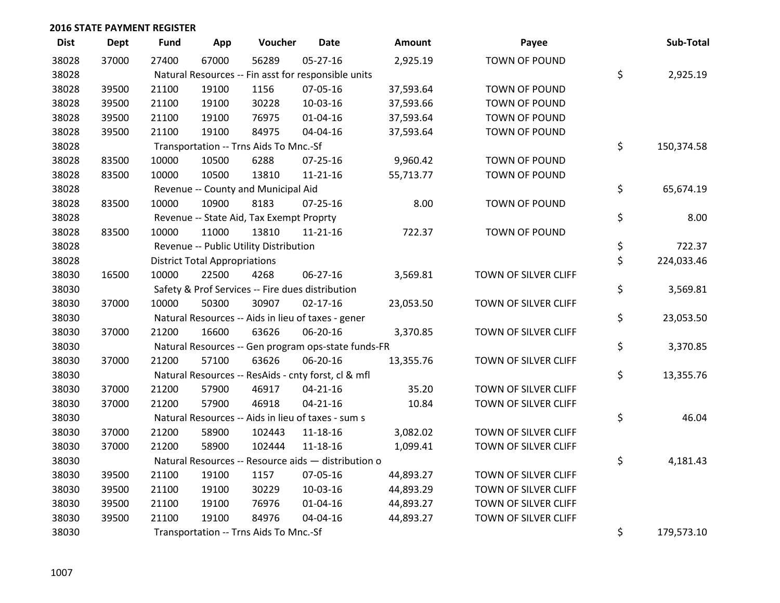| <b>Dist</b> | <b>Dept</b> | <b>Fund</b> | App                                  | Voucher                                  | <b>Date</b>                                         | <b>Amount</b> | Payee                | Sub-Total        |
|-------------|-------------|-------------|--------------------------------------|------------------------------------------|-----------------------------------------------------|---------------|----------------------|------------------|
| 38028       | 37000       | 27400       | 67000                                | 56289                                    | $05 - 27 - 16$                                      | 2,925.19      | <b>TOWN OF POUND</b> |                  |
| 38028       |             |             |                                      |                                          | Natural Resources -- Fin asst for responsible units |               |                      | \$<br>2,925.19   |
| 38028       | 39500       | 21100       | 19100                                | 1156                                     | 07-05-16                                            | 37,593.64     | TOWN OF POUND        |                  |
| 38028       | 39500       | 21100       | 19100                                | 30228                                    | 10-03-16                                            | 37,593.66     | TOWN OF POUND        |                  |
| 38028       | 39500       | 21100       | 19100                                | 76975                                    | $01 - 04 - 16$                                      | 37,593.64     | TOWN OF POUND        |                  |
| 38028       | 39500       | 21100       | 19100                                | 84975                                    | 04-04-16                                            | 37,593.64     | TOWN OF POUND        |                  |
| 38028       |             |             |                                      | Transportation -- Trns Aids To Mnc.-Sf   |                                                     |               |                      | \$<br>150,374.58 |
| 38028       | 83500       | 10000       | 10500                                | 6288                                     | $07 - 25 - 16$                                      | 9,960.42      | TOWN OF POUND        |                  |
| 38028       | 83500       | 10000       | 10500                                | 13810                                    | $11 - 21 - 16$                                      | 55,713.77     | TOWN OF POUND        |                  |
| 38028       |             |             |                                      | Revenue -- County and Municipal Aid      |                                                     |               |                      | \$<br>65,674.19  |
| 38028       | 83500       | 10000       | 10900                                | 8183                                     | $07 - 25 - 16$                                      | 8.00          | TOWN OF POUND        |                  |
| 38028       |             |             |                                      | Revenue -- State Aid, Tax Exempt Proprty |                                                     |               |                      | \$<br>8.00       |
| 38028       | 83500       | 10000       | 11000                                | 13810                                    | 11-21-16                                            | 722.37        | TOWN OF POUND        |                  |
| 38028       |             |             |                                      | Revenue -- Public Utility Distribution   |                                                     |               |                      | \$<br>722.37     |
| 38028       |             |             | <b>District Total Appropriations</b> |                                          |                                                     |               |                      | \$<br>224,033.46 |
| 38030       | 16500       | 10000       | 22500                                | 4268                                     | 06-27-16                                            | 3,569.81      | TOWN OF SILVER CLIFF |                  |
| 38030       |             |             |                                      |                                          | Safety & Prof Services -- Fire dues distribution    |               |                      | \$<br>3,569.81   |
| 38030       | 37000       | 10000       | 50300                                | 30907                                    | $02 - 17 - 16$                                      | 23,053.50     | TOWN OF SILVER CLIFF |                  |
| 38030       |             |             |                                      |                                          | Natural Resources -- Aids in lieu of taxes - gener  |               |                      | \$<br>23,053.50  |
| 38030       | 37000       | 21200       | 16600                                | 63626                                    | 06-20-16                                            | 3,370.85      | TOWN OF SILVER CLIFF |                  |
| 38030       |             |             |                                      |                                          | Natural Resources -- Gen program ops-state funds-FR |               |                      | \$<br>3,370.85   |
| 38030       | 37000       | 21200       | 57100                                | 63626                                    | 06-20-16                                            | 13,355.76     | TOWN OF SILVER CLIFF |                  |
| 38030       |             |             |                                      |                                          | Natural Resources -- ResAids - cnty forst, cl & mfl |               |                      | \$<br>13,355.76  |
| 38030       | 37000       | 21200       | 57900                                | 46917                                    | $04 - 21 - 16$                                      | 35.20         | TOWN OF SILVER CLIFF |                  |
| 38030       | 37000       | 21200       | 57900                                | 46918                                    | $04 - 21 - 16$                                      | 10.84         | TOWN OF SILVER CLIFF |                  |
| 38030       |             |             |                                      |                                          | Natural Resources -- Aids in lieu of taxes - sum s  |               |                      | \$<br>46.04      |
| 38030       | 37000       | 21200       | 58900                                | 102443                                   | 11-18-16                                            | 3,082.02      | TOWN OF SILVER CLIFF |                  |
| 38030       | 37000       | 21200       | 58900                                | 102444                                   | 11-18-16                                            | 1,099.41      | TOWN OF SILVER CLIFF |                  |
| 38030       |             |             |                                      |                                          | Natural Resources -- Resource aids - distribution o |               |                      | \$<br>4,181.43   |
| 38030       | 39500       | 21100       | 19100                                | 1157                                     | 07-05-16                                            | 44,893.27     | TOWN OF SILVER CLIFF |                  |
| 38030       | 39500       | 21100       | 19100                                | 30229                                    | 10-03-16                                            | 44,893.29     | TOWN OF SILVER CLIFF |                  |
| 38030       | 39500       | 21100       | 19100                                | 76976                                    | $01 - 04 - 16$                                      | 44,893.27     | TOWN OF SILVER CLIFF |                  |
| 38030       | 39500       | 21100       | 19100                                | 84976                                    | 04-04-16                                            | 44,893.27     | TOWN OF SILVER CLIFF |                  |
| 38030       |             |             |                                      | Transportation -- Trns Aids To Mnc.-Sf   |                                                     |               |                      | \$<br>179,573.10 |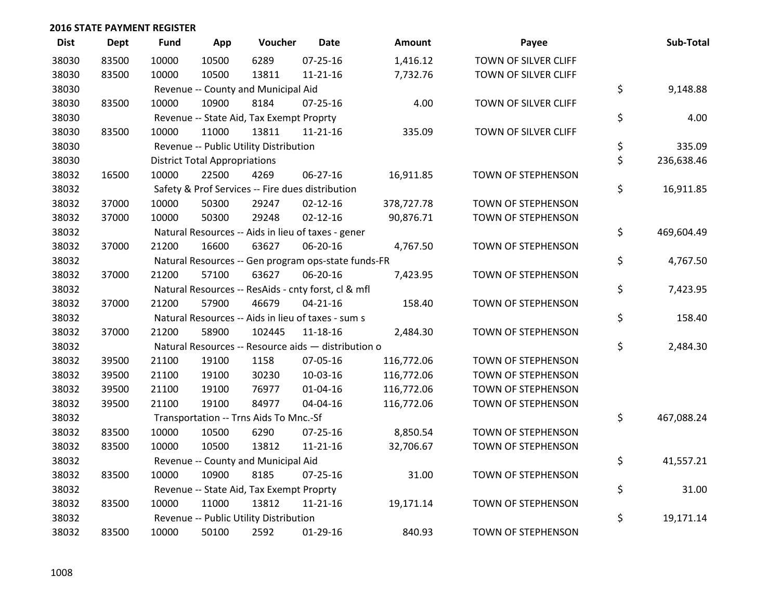| <b>Dist</b> | <b>Dept</b> | <b>Fund</b> | App                                  | Voucher                                             | Date           | <b>Amount</b> | Payee                | Sub-Total        |
|-------------|-------------|-------------|--------------------------------------|-----------------------------------------------------|----------------|---------------|----------------------|------------------|
| 38030       | 83500       | 10000       | 10500                                | 6289                                                | $07 - 25 - 16$ | 1,416.12      | TOWN OF SILVER CLIFF |                  |
| 38030       | 83500       | 10000       | 10500                                | 13811                                               | $11 - 21 - 16$ | 7,732.76      | TOWN OF SILVER CLIFF |                  |
| 38030       |             |             |                                      | Revenue -- County and Municipal Aid                 |                |               |                      | \$<br>9,148.88   |
| 38030       | 83500       | 10000       | 10900                                | 8184                                                | $07 - 25 - 16$ | 4.00          | TOWN OF SILVER CLIFF |                  |
| 38030       |             |             |                                      | Revenue -- State Aid, Tax Exempt Proprty            |                |               |                      | \$<br>4.00       |
| 38030       | 83500       | 10000       | 11000                                | 13811                                               | $11 - 21 - 16$ | 335.09        | TOWN OF SILVER CLIFF |                  |
| 38030       |             |             |                                      | Revenue -- Public Utility Distribution              |                |               |                      | \$<br>335.09     |
| 38030       |             |             | <b>District Total Appropriations</b> |                                                     |                |               |                      | \$<br>236,638.46 |
| 38032       | 16500       | 10000       | 22500                                | 4269                                                | 06-27-16       | 16,911.85     | TOWN OF STEPHENSON   |                  |
| 38032       |             |             |                                      | Safety & Prof Services -- Fire dues distribution    |                |               |                      | \$<br>16,911.85  |
| 38032       | 37000       | 10000       | 50300                                | 29247                                               | $02 - 12 - 16$ | 378,727.78    | TOWN OF STEPHENSON   |                  |
| 38032       | 37000       | 10000       | 50300                                | 29248                                               | $02 - 12 - 16$ | 90,876.71     | TOWN OF STEPHENSON   |                  |
| 38032       |             |             |                                      | Natural Resources -- Aids in lieu of taxes - gener  |                |               |                      | \$<br>469,604.49 |
| 38032       | 37000       | 21200       | 16600                                | 63627                                               | 06-20-16       | 4,767.50      | TOWN OF STEPHENSON   |                  |
| 38032       |             |             |                                      | Natural Resources -- Gen program ops-state funds-FR |                |               |                      | \$<br>4,767.50   |
| 38032       | 37000       | 21200       | 57100                                | 63627                                               | 06-20-16       | 7,423.95      | TOWN OF STEPHENSON   |                  |
| 38032       |             |             |                                      | Natural Resources -- ResAids - cnty forst, cl & mfl |                |               |                      | \$<br>7,423.95   |
| 38032       | 37000       | 21200       | 57900                                | 46679                                               | $04 - 21 - 16$ | 158.40        | TOWN OF STEPHENSON   |                  |
| 38032       |             |             |                                      | Natural Resources -- Aids in lieu of taxes - sum s  |                |               |                      | \$<br>158.40     |
| 38032       | 37000       | 21200       | 58900                                | 102445                                              | $11 - 18 - 16$ | 2,484.30      | TOWN OF STEPHENSON   |                  |
| 38032       |             |             |                                      | Natural Resources -- Resource aids - distribution o |                |               |                      | \$<br>2,484.30   |
| 38032       | 39500       | 21100       | 19100                                | 1158                                                | 07-05-16       | 116,772.06    | TOWN OF STEPHENSON   |                  |
| 38032       | 39500       | 21100       | 19100                                | 30230                                               | 10-03-16       | 116,772.06    | TOWN OF STEPHENSON   |                  |
| 38032       | 39500       | 21100       | 19100                                | 76977                                               | $01 - 04 - 16$ | 116,772.06    | TOWN OF STEPHENSON   |                  |
| 38032       | 39500       | 21100       | 19100                                | 84977                                               | 04-04-16       | 116,772.06    | TOWN OF STEPHENSON   |                  |
| 38032       |             |             |                                      | Transportation -- Trns Aids To Mnc.-Sf              |                |               |                      | \$<br>467,088.24 |
| 38032       | 83500       | 10000       | 10500                                | 6290                                                | 07-25-16       | 8,850.54      | TOWN OF STEPHENSON   |                  |
| 38032       | 83500       | 10000       | 10500                                | 13812                                               | $11 - 21 - 16$ | 32,706.67     | TOWN OF STEPHENSON   |                  |
| 38032       |             |             |                                      | Revenue -- County and Municipal Aid                 |                |               |                      | \$<br>41,557.21  |
| 38032       | 83500       | 10000       | 10900                                | 8185                                                | $07 - 25 - 16$ | 31.00         | TOWN OF STEPHENSON   |                  |
| 38032       |             |             |                                      | Revenue -- State Aid, Tax Exempt Proprty            |                |               |                      | \$<br>31.00      |
| 38032       | 83500       | 10000       | 11000                                | 13812                                               | $11 - 21 - 16$ | 19,171.14     | TOWN OF STEPHENSON   |                  |
| 38032       |             |             |                                      | Revenue -- Public Utility Distribution              |                |               |                      | \$<br>19,171.14  |
| 38032       | 83500       | 10000       | 50100                                | 2592                                                | 01-29-16       | 840.93        | TOWN OF STEPHENSON   |                  |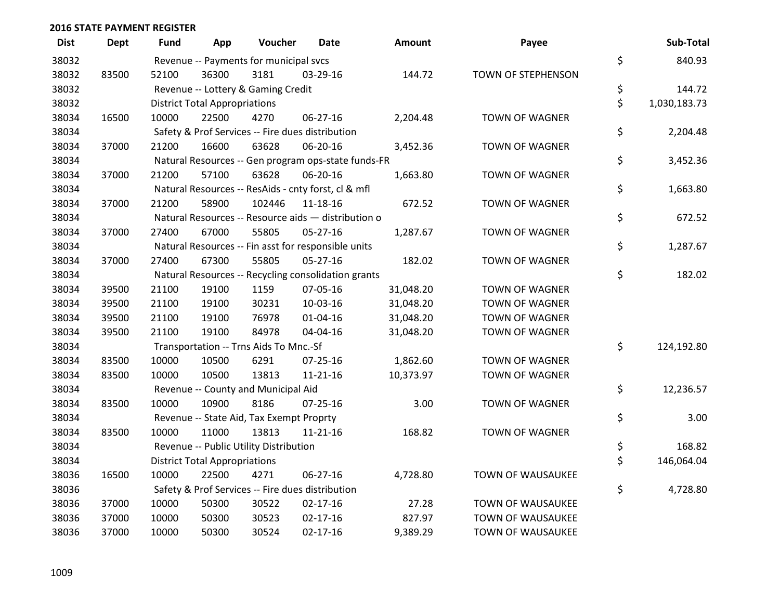| <b>Dist</b> | <b>Dept</b> | <b>Fund</b> | App                                  | Voucher                                  | Date                                                | Amount    | Payee                 | Sub-Total          |
|-------------|-------------|-------------|--------------------------------------|------------------------------------------|-----------------------------------------------------|-----------|-----------------------|--------------------|
| 38032       |             |             |                                      | Revenue -- Payments for municipal svcs   |                                                     |           |                       | \$<br>840.93       |
| 38032       | 83500       | 52100       | 36300                                | 3181                                     | 03-29-16                                            | 144.72    | TOWN OF STEPHENSON    |                    |
| 38032       |             |             |                                      | Revenue -- Lottery & Gaming Credit       |                                                     |           |                       | \$<br>144.72       |
| 38032       |             |             | <b>District Total Appropriations</b> |                                          |                                                     |           |                       | \$<br>1,030,183.73 |
| 38034       | 16500       | 10000       | 22500                                | 4270                                     | 06-27-16                                            | 2,204.48  | <b>TOWN OF WAGNER</b> |                    |
| 38034       |             |             |                                      |                                          | Safety & Prof Services -- Fire dues distribution    |           |                       | \$<br>2,204.48     |
| 38034       | 37000       | 21200       | 16600                                | 63628                                    | 06-20-16                                            | 3,452.36  | <b>TOWN OF WAGNER</b> |                    |
| 38034       |             |             |                                      |                                          | Natural Resources -- Gen program ops-state funds-FR |           |                       | \$<br>3,452.36     |
| 38034       | 37000       | 21200       | 57100                                | 63628                                    | 06-20-16                                            | 1,663.80  | <b>TOWN OF WAGNER</b> |                    |
| 38034       |             |             |                                      |                                          | Natural Resources -- ResAids - cnty forst, cl & mfl |           |                       | \$<br>1,663.80     |
| 38034       | 37000       | 21200       | 58900                                | 102446                                   | 11-18-16                                            | 672.52    | <b>TOWN OF WAGNER</b> |                    |
| 38034       |             |             |                                      |                                          | Natural Resources -- Resource aids - distribution o |           |                       | \$<br>672.52       |
| 38034       | 37000       | 27400       | 67000                                | 55805                                    | $05 - 27 - 16$                                      | 1,287.67  | <b>TOWN OF WAGNER</b> |                    |
| 38034       |             |             |                                      |                                          | Natural Resources -- Fin asst for responsible units |           |                       | \$<br>1,287.67     |
| 38034       | 37000       | 27400       | 67300                                | 55805                                    | 05-27-16                                            | 182.02    | <b>TOWN OF WAGNER</b> |                    |
| 38034       |             |             |                                      |                                          | Natural Resources -- Recycling consolidation grants |           |                       | \$<br>182.02       |
| 38034       | 39500       | 21100       | 19100                                | 1159                                     | 07-05-16                                            | 31,048.20 | <b>TOWN OF WAGNER</b> |                    |
| 38034       | 39500       | 21100       | 19100                                | 30231                                    | 10-03-16                                            | 31,048.20 | TOWN OF WAGNER        |                    |
| 38034       | 39500       | 21100       | 19100                                | 76978                                    | $01 - 04 - 16$                                      | 31,048.20 | <b>TOWN OF WAGNER</b> |                    |
| 38034       | 39500       | 21100       | 19100                                | 84978                                    | 04-04-16                                            | 31,048.20 | <b>TOWN OF WAGNER</b> |                    |
| 38034       |             |             |                                      | Transportation -- Trns Aids To Mnc.-Sf   |                                                     |           |                       | \$<br>124,192.80   |
| 38034       | 83500       | 10000       | 10500                                | 6291                                     | 07-25-16                                            | 1,862.60  | <b>TOWN OF WAGNER</b> |                    |
| 38034       | 83500       | 10000       | 10500                                | 13813                                    | $11 - 21 - 16$                                      | 10,373.97 | <b>TOWN OF WAGNER</b> |                    |
| 38034       |             |             |                                      | Revenue -- County and Municipal Aid      |                                                     |           |                       | \$<br>12,236.57    |
| 38034       | 83500       | 10000       | 10900                                | 8186                                     | $07 - 25 - 16$                                      | 3.00      | <b>TOWN OF WAGNER</b> |                    |
| 38034       |             |             |                                      | Revenue -- State Aid, Tax Exempt Proprty |                                                     |           |                       | \$<br>3.00         |
| 38034       | 83500       | 10000       | 11000                                | 13813                                    | 11-21-16                                            | 168.82    | <b>TOWN OF WAGNER</b> |                    |
| 38034       |             |             |                                      | Revenue -- Public Utility Distribution   |                                                     |           |                       | \$<br>168.82       |
| 38034       |             |             | <b>District Total Appropriations</b> |                                          |                                                     |           |                       | \$<br>146,064.04   |
| 38036       | 16500       | 10000       | 22500                                | 4271                                     | 06-27-16                                            | 4,728.80  | TOWN OF WAUSAUKEE     |                    |
| 38036       |             |             |                                      |                                          | Safety & Prof Services -- Fire dues distribution    |           |                       | \$<br>4,728.80     |
| 38036       | 37000       | 10000       | 50300                                | 30522                                    | $02 - 17 - 16$                                      | 27.28     | TOWN OF WAUSAUKEE     |                    |
| 38036       | 37000       | 10000       | 50300                                | 30523                                    | $02 - 17 - 16$                                      | 827.97    | TOWN OF WAUSAUKEE     |                    |
| 38036       | 37000       | 10000       | 50300                                | 30524                                    | $02 - 17 - 16$                                      | 9,389.29  | TOWN OF WAUSAUKEE     |                    |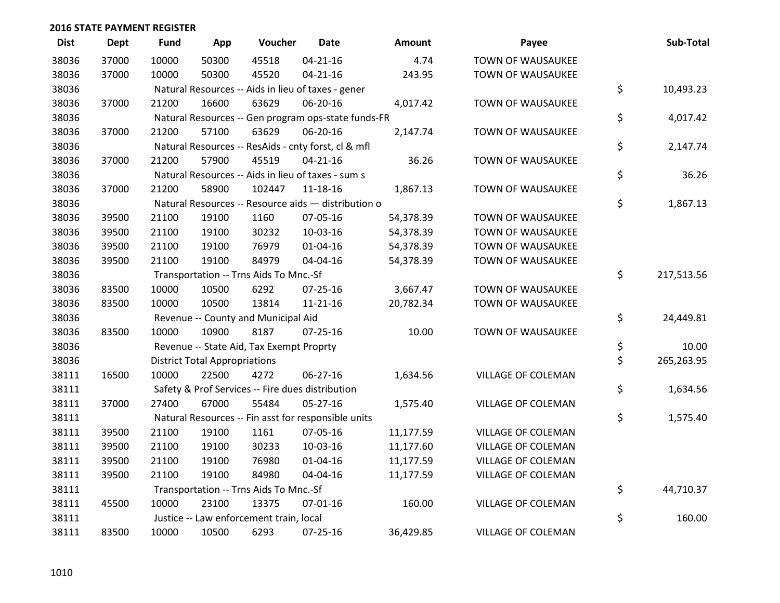| <b>Dist</b> | <b>Dept</b> | <b>Fund</b> | App                                  | Voucher                                             | Date           | <b>Amount</b> | Payee                     | Sub-Total        |
|-------------|-------------|-------------|--------------------------------------|-----------------------------------------------------|----------------|---------------|---------------------------|------------------|
| 38036       | 37000       | 10000       | 50300                                | 45518                                               | $04 - 21 - 16$ | 4.74          | TOWN OF WAUSAUKEE         |                  |
| 38036       | 37000       | 10000       | 50300                                | 45520                                               | $04 - 21 - 16$ | 243.95        | TOWN OF WAUSAUKEE         |                  |
| 38036       |             |             |                                      | Natural Resources -- Aids in lieu of taxes - gener  |                |               |                           | \$<br>10,493.23  |
| 38036       | 37000       | 21200       | 16600                                | 63629                                               | 06-20-16       | 4,017.42      | <b>TOWN OF WAUSAUKEE</b>  |                  |
| 38036       |             |             |                                      | Natural Resources -- Gen program ops-state funds-FR |                |               |                           | \$<br>4,017.42   |
| 38036       | 37000       | 21200       | 57100                                | 63629                                               | 06-20-16       | 2,147.74      | TOWN OF WAUSAUKEE         |                  |
| 38036       |             |             |                                      | Natural Resources -- ResAids - cnty forst, cl & mfl |                |               |                           | \$<br>2,147.74   |
| 38036       | 37000       | 21200       | 57900                                | 45519                                               | $04 - 21 - 16$ | 36.26         | <b>TOWN OF WAUSAUKEE</b>  |                  |
| 38036       |             |             |                                      | Natural Resources -- Aids in lieu of taxes - sum s  |                |               |                           | \$<br>36.26      |
| 38036       | 37000       | 21200       | 58900                                | 102447                                              | 11-18-16       | 1,867.13      | TOWN OF WAUSAUKEE         |                  |
| 38036       |             |             |                                      | Natural Resources -- Resource aids - distribution o |                |               |                           | \$<br>1,867.13   |
| 38036       | 39500       | 21100       | 19100                                | 1160                                                | 07-05-16       | 54,378.39     | <b>TOWN OF WAUSAUKEE</b>  |                  |
| 38036       | 39500       | 21100       | 19100                                | 30232                                               | 10-03-16       | 54,378.39     | <b>TOWN OF WAUSAUKEE</b>  |                  |
| 38036       | 39500       | 21100       | 19100                                | 76979                                               | $01 - 04 - 16$ | 54,378.39     | TOWN OF WAUSAUKEE         |                  |
| 38036       | 39500       | 21100       | 19100                                | 84979                                               | 04-04-16       | 54,378.39     | TOWN OF WAUSAUKEE         |                  |
| 38036       |             |             |                                      | Transportation -- Trns Aids To Mnc.-Sf              |                |               |                           | \$<br>217,513.56 |
| 38036       | 83500       | 10000       | 10500                                | 6292                                                | $07 - 25 - 16$ | 3,667.47      | TOWN OF WAUSAUKEE         |                  |
| 38036       | 83500       | 10000       | 10500                                | 13814                                               | $11 - 21 - 16$ | 20,782.34     | TOWN OF WAUSAUKEE         |                  |
| 38036       |             |             |                                      | Revenue -- County and Municipal Aid                 |                |               |                           | \$<br>24,449.81  |
| 38036       | 83500       | 10000       | 10900                                | 8187                                                | 07-25-16       | 10.00         | TOWN OF WAUSAUKEE         |                  |
| 38036       |             |             |                                      | Revenue -- State Aid, Tax Exempt Proprty            |                |               |                           | \$<br>10.00      |
| 38036       |             |             | <b>District Total Appropriations</b> |                                                     |                |               |                           | \$<br>265,263.95 |
| 38111       | 16500       | 10000       | 22500                                | 4272                                                | 06-27-16       | 1,634.56      | VILLAGE OF COLEMAN        |                  |
| 38111       |             |             |                                      | Safety & Prof Services -- Fire dues distribution    |                |               |                           | \$<br>1,634.56   |
| 38111       | 37000       | 27400       | 67000                                | 55484                                               | 05-27-16       | 1,575.40      | VILLAGE OF COLEMAN        |                  |
| 38111       |             |             |                                      | Natural Resources -- Fin asst for responsible units |                |               |                           | \$<br>1,575.40   |
| 38111       | 39500       | 21100       | 19100                                | 1161                                                | 07-05-16       | 11,177.59     | VILLAGE OF COLEMAN        |                  |
| 38111       | 39500       | 21100       | 19100                                | 30233                                               | 10-03-16       | 11,177.60     | <b>VILLAGE OF COLEMAN</b> |                  |
| 38111       | 39500       | 21100       | 19100                                | 76980                                               | $01 - 04 - 16$ | 11,177.59     | <b>VILLAGE OF COLEMAN</b> |                  |
| 38111       | 39500       | 21100       | 19100                                | 84980                                               | 04-04-16       | 11,177.59     | VILLAGE OF COLEMAN        |                  |
| 38111       |             |             |                                      | Transportation -- Trns Aids To Mnc.-Sf              |                |               |                           | \$<br>44,710.37  |
| 38111       | 45500       | 10000       | 23100                                | 13375                                               | 07-01-16       | 160.00        | <b>VILLAGE OF COLEMAN</b> |                  |
| 38111       |             |             |                                      | Justice -- Law enforcement train, local             |                |               |                           | \$<br>160.00     |
| 38111       | 83500       | 10000       | 10500                                | 6293                                                | $07 - 25 - 16$ | 36,429.85     | <b>VILLAGE OF COLEMAN</b> |                  |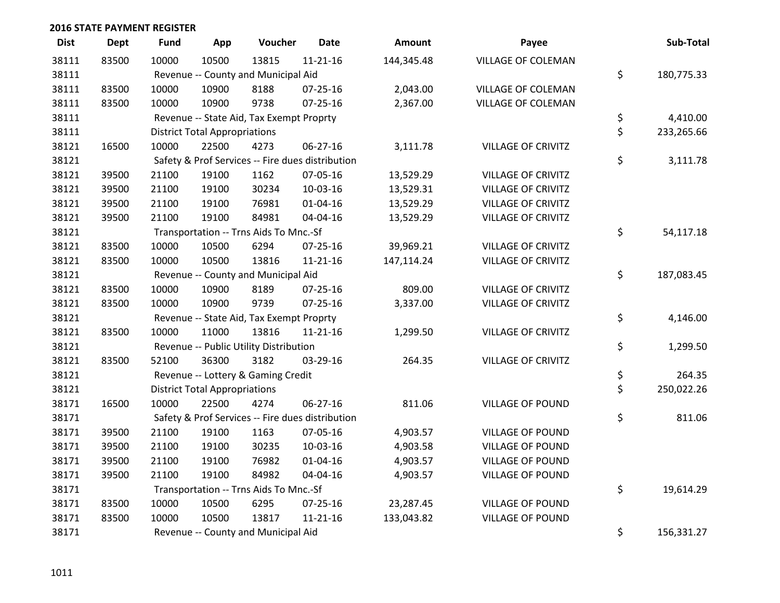| <b>Dist</b> | <b>Dept</b> | <b>Fund</b> | App                                  | Voucher                                  | <b>Date</b>                                      | Amount     | Payee                     | Sub-Total        |
|-------------|-------------|-------------|--------------------------------------|------------------------------------------|--------------------------------------------------|------------|---------------------------|------------------|
| 38111       | 83500       | 10000       | 10500                                | 13815                                    | $11 - 21 - 16$                                   | 144,345.48 | VILLAGE OF COLEMAN        |                  |
| 38111       |             |             |                                      | Revenue -- County and Municipal Aid      |                                                  |            |                           | \$<br>180,775.33 |
| 38111       | 83500       | 10000       | 10900                                | 8188                                     | $07 - 25 - 16$                                   | 2,043.00   | VILLAGE OF COLEMAN        |                  |
| 38111       | 83500       | 10000       | 10900                                | 9738                                     | 07-25-16                                         | 2,367.00   | VILLAGE OF COLEMAN        |                  |
| 38111       |             |             |                                      | Revenue -- State Aid, Tax Exempt Proprty |                                                  |            |                           | \$<br>4,410.00   |
| 38111       |             |             | <b>District Total Appropriations</b> |                                          |                                                  |            |                           | \$<br>233,265.66 |
| 38121       | 16500       | 10000       | 22500                                | 4273                                     | 06-27-16                                         | 3,111.78   | <b>VILLAGE OF CRIVITZ</b> |                  |
| 38121       |             |             |                                      |                                          | Safety & Prof Services -- Fire dues distribution |            |                           | \$<br>3,111.78   |
| 38121       | 39500       | 21100       | 19100                                | 1162                                     | 07-05-16                                         | 13,529.29  | <b>VILLAGE OF CRIVITZ</b> |                  |
| 38121       | 39500       | 21100       | 19100                                | 30234                                    | 10-03-16                                         | 13,529.31  | <b>VILLAGE OF CRIVITZ</b> |                  |
| 38121       | 39500       | 21100       | 19100                                | 76981                                    | $01 - 04 - 16$                                   | 13,529.29  | <b>VILLAGE OF CRIVITZ</b> |                  |
| 38121       | 39500       | 21100       | 19100                                | 84981                                    | 04-04-16                                         | 13,529.29  | <b>VILLAGE OF CRIVITZ</b> |                  |
| 38121       |             |             |                                      | Transportation -- Trns Aids To Mnc.-Sf   |                                                  |            |                           | \$<br>54,117.18  |
| 38121       | 83500       | 10000       | 10500                                | 6294                                     | $07 - 25 - 16$                                   | 39,969.21  | <b>VILLAGE OF CRIVITZ</b> |                  |
| 38121       | 83500       | 10000       | 10500                                | 13816                                    | 11-21-16                                         | 147,114.24 | <b>VILLAGE OF CRIVITZ</b> |                  |
| 38121       |             |             |                                      | Revenue -- County and Municipal Aid      |                                                  |            |                           | \$<br>187,083.45 |
| 38121       | 83500       | 10000       | 10900                                | 8189                                     | 07-25-16                                         | 809.00     | <b>VILLAGE OF CRIVITZ</b> |                  |
| 38121       | 83500       | 10000       | 10900                                | 9739                                     | 07-25-16                                         | 3,337.00   | <b>VILLAGE OF CRIVITZ</b> |                  |
| 38121       |             |             |                                      | Revenue -- State Aid, Tax Exempt Proprty |                                                  |            |                           | \$<br>4,146.00   |
| 38121       | 83500       | 10000       | 11000                                | 13816                                    | 11-21-16                                         | 1,299.50   | <b>VILLAGE OF CRIVITZ</b> |                  |
| 38121       |             |             |                                      | Revenue -- Public Utility Distribution   |                                                  |            |                           | \$<br>1,299.50   |
| 38121       | 83500       | 52100       | 36300                                | 3182                                     | 03-29-16                                         | 264.35     | <b>VILLAGE OF CRIVITZ</b> |                  |
| 38121       |             |             |                                      | Revenue -- Lottery & Gaming Credit       |                                                  |            |                           | \$<br>264.35     |
| 38121       |             |             | <b>District Total Appropriations</b> |                                          |                                                  |            |                           | \$<br>250,022.26 |
| 38171       | 16500       | 10000       | 22500                                | 4274                                     | 06-27-16                                         | 811.06     | <b>VILLAGE OF POUND</b>   |                  |
| 38171       |             |             |                                      |                                          | Safety & Prof Services -- Fire dues distribution |            |                           | \$<br>811.06     |
| 38171       | 39500       | 21100       | 19100                                | 1163                                     | 07-05-16                                         | 4,903.57   | <b>VILLAGE OF POUND</b>   |                  |
| 38171       | 39500       | 21100       | 19100                                | 30235                                    | 10-03-16                                         | 4,903.58   | <b>VILLAGE OF POUND</b>   |                  |
| 38171       | 39500       | 21100       | 19100                                | 76982                                    | $01 - 04 - 16$                                   | 4,903.57   | <b>VILLAGE OF POUND</b>   |                  |
| 38171       | 39500       | 21100       | 19100                                | 84982                                    | 04-04-16                                         | 4,903.57   | <b>VILLAGE OF POUND</b>   |                  |
| 38171       |             |             |                                      | Transportation -- Trns Aids To Mnc.-Sf   |                                                  |            |                           | \$<br>19,614.29  |
| 38171       | 83500       | 10000       | 10500                                | 6295                                     | $07 - 25 - 16$                                   | 23,287.45  | <b>VILLAGE OF POUND</b>   |                  |
| 38171       | 83500       | 10000       | 10500                                | 13817                                    | $11 - 21 - 16$                                   | 133,043.82 | <b>VILLAGE OF POUND</b>   |                  |
| 38171       |             |             |                                      | Revenue -- County and Municipal Aid      |                                                  |            |                           | \$<br>156,331.27 |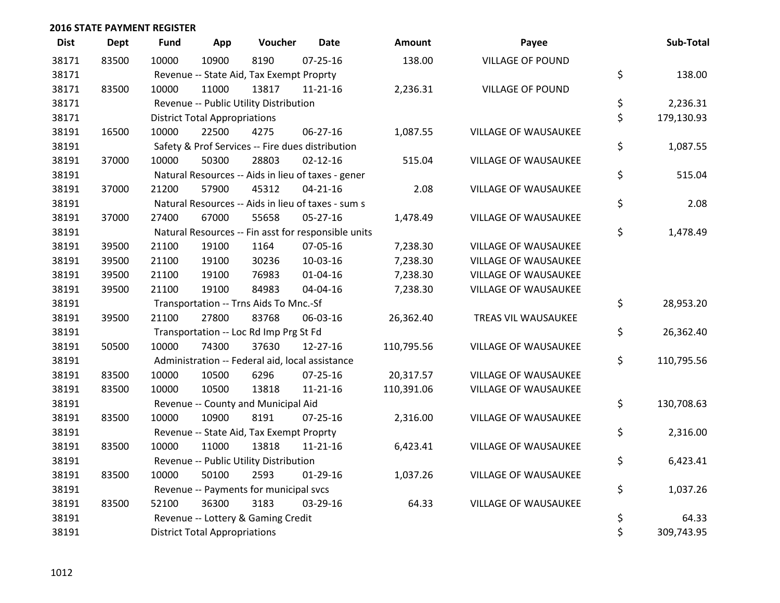| <b>Dist</b> | <b>Dept</b> | <b>Fund</b> | App                                  | Voucher                                         | <b>Date</b>                                         | Amount     | Payee                       | Sub-Total        |
|-------------|-------------|-------------|--------------------------------------|-------------------------------------------------|-----------------------------------------------------|------------|-----------------------------|------------------|
| 38171       | 83500       | 10000       | 10900                                | 8190                                            | $07 - 25 - 16$                                      | 138.00     | <b>VILLAGE OF POUND</b>     |                  |
| 38171       |             |             |                                      | Revenue -- State Aid, Tax Exempt Proprty        |                                                     |            |                             | \$<br>138.00     |
| 38171       | 83500       | 10000       | 11000                                | 13817                                           | $11 - 21 - 16$                                      | 2,236.31   | <b>VILLAGE OF POUND</b>     |                  |
| 38171       |             |             |                                      | Revenue -- Public Utility Distribution          |                                                     |            |                             | \$<br>2,236.31   |
| 38171       |             |             | <b>District Total Appropriations</b> |                                                 |                                                     |            |                             | \$<br>179,130.93 |
| 38191       | 16500       | 10000       | 22500                                | 4275                                            | 06-27-16                                            | 1,087.55   | VILLAGE OF WAUSAUKEE        |                  |
| 38191       |             |             |                                      |                                                 | Safety & Prof Services -- Fire dues distribution    |            |                             | \$<br>1,087.55   |
| 38191       | 37000       | 10000       | 50300                                | 28803                                           | $02 - 12 - 16$                                      | 515.04     | <b>VILLAGE OF WAUSAUKEE</b> |                  |
| 38191       |             |             |                                      |                                                 | Natural Resources -- Aids in lieu of taxes - gener  |            |                             | \$<br>515.04     |
| 38191       | 37000       | 21200       | 57900                                | 45312                                           | $04 - 21 - 16$                                      | 2.08       | <b>VILLAGE OF WAUSAUKEE</b> |                  |
| 38191       |             |             |                                      |                                                 | Natural Resources -- Aids in lieu of taxes - sum s  |            |                             | \$<br>2.08       |
| 38191       | 37000       | 27400       | 67000                                | 55658                                           | $05 - 27 - 16$                                      | 1,478.49   | VILLAGE OF WAUSAUKEE        |                  |
| 38191       |             |             |                                      |                                                 | Natural Resources -- Fin asst for responsible units |            |                             | \$<br>1,478.49   |
| 38191       | 39500       | 21100       | 19100                                | 1164                                            | 07-05-16                                            | 7,238.30   | <b>VILLAGE OF WAUSAUKEE</b> |                  |
| 38191       | 39500       | 21100       | 19100                                | 30236                                           | 10-03-16                                            | 7,238.30   | <b>VILLAGE OF WAUSAUKEE</b> |                  |
| 38191       | 39500       | 21100       | 19100                                | 76983                                           | $01 - 04 - 16$                                      | 7,238.30   | <b>VILLAGE OF WAUSAUKEE</b> |                  |
| 38191       | 39500       | 21100       | 19100                                | 84983                                           | 04-04-16                                            | 7,238.30   | VILLAGE OF WAUSAUKEE        |                  |
| 38191       |             |             |                                      | Transportation -- Trns Aids To Mnc.-Sf          |                                                     |            |                             | \$<br>28,953.20  |
| 38191       | 39500       | 21100       | 27800                                | 83768                                           | 06-03-16                                            | 26,362.40  | TREAS VIL WAUSAUKEE         |                  |
| 38191       |             |             |                                      | Transportation -- Loc Rd Imp Prg St Fd          |                                                     |            |                             | \$<br>26,362.40  |
| 38191       | 50500       | 10000       | 74300                                | 37630                                           | $12 - 27 - 16$                                      | 110,795.56 | VILLAGE OF WAUSAUKEE        |                  |
| 38191       |             |             |                                      | Administration -- Federal aid, local assistance |                                                     |            |                             | \$<br>110,795.56 |
| 38191       | 83500       | 10000       | 10500                                | 6296                                            | $07 - 25 - 16$                                      | 20,317.57  | VILLAGE OF WAUSAUKEE        |                  |
| 38191       | 83500       | 10000       | 10500                                | 13818                                           | $11 - 21 - 16$                                      | 110,391.06 | VILLAGE OF WAUSAUKEE        |                  |
| 38191       |             |             |                                      | Revenue -- County and Municipal Aid             |                                                     |            |                             | \$<br>130,708.63 |
| 38191       | 83500       | 10000       | 10900                                | 8191                                            | $07 - 25 - 16$                                      | 2,316.00   | <b>VILLAGE OF WAUSAUKEE</b> |                  |
| 38191       |             |             |                                      | Revenue -- State Aid, Tax Exempt Proprty        |                                                     |            |                             | \$<br>2,316.00   |
| 38191       | 83500       | 10000       | 11000                                | 13818                                           | $11 - 21 - 16$                                      | 6,423.41   | VILLAGE OF WAUSAUKEE        |                  |
| 38191       |             |             |                                      | Revenue -- Public Utility Distribution          |                                                     |            |                             | \$<br>6,423.41   |
| 38191       | 83500       | 10000       | 50100                                | 2593                                            | $01-29-16$                                          | 1,037.26   | VILLAGE OF WAUSAUKEE        |                  |
| 38191       |             |             |                                      | Revenue -- Payments for municipal svcs          |                                                     |            |                             | \$<br>1,037.26   |
| 38191       | 83500       | 52100       | 36300                                | 3183                                            | 03-29-16                                            | 64.33      | <b>VILLAGE OF WAUSAUKEE</b> |                  |
| 38191       |             |             |                                      | Revenue -- Lottery & Gaming Credit              |                                                     |            |                             | \$<br>64.33      |
| 38191       |             |             | <b>District Total Appropriations</b> |                                                 |                                                     |            |                             | \$<br>309,743.95 |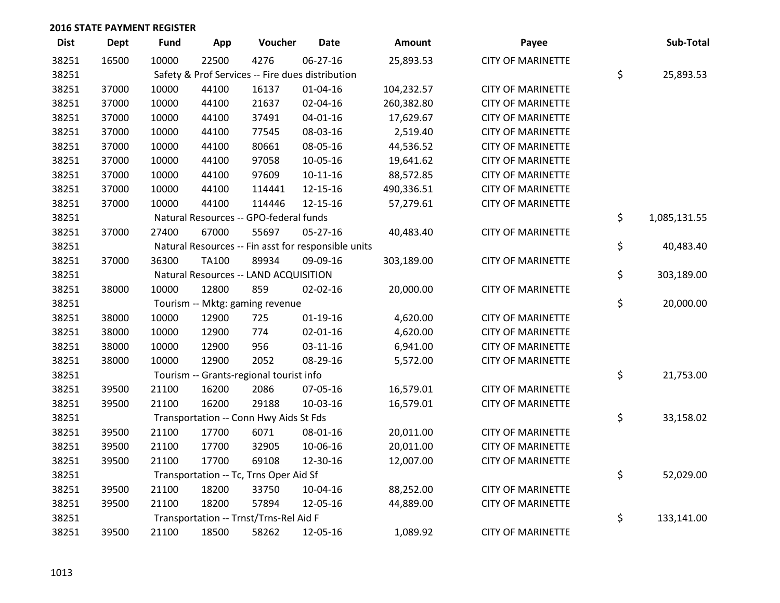| <b>Dist</b> | <b>Dept</b> | <b>Fund</b> | App          | Voucher                                 | <b>Date</b>                                         | Amount     | Payee                    | Sub-Total          |
|-------------|-------------|-------------|--------------|-----------------------------------------|-----------------------------------------------------|------------|--------------------------|--------------------|
| 38251       | 16500       | 10000       | 22500        | 4276                                    | 06-27-16                                            | 25,893.53  | <b>CITY OF MARINETTE</b> |                    |
| 38251       |             |             |              |                                         | Safety & Prof Services -- Fire dues distribution    |            |                          | \$<br>25,893.53    |
| 38251       | 37000       | 10000       | 44100        | 16137                                   | $01 - 04 - 16$                                      | 104,232.57 | <b>CITY OF MARINETTE</b> |                    |
| 38251       | 37000       | 10000       | 44100        | 21637                                   | 02-04-16                                            | 260,382.80 | <b>CITY OF MARINETTE</b> |                    |
| 38251       | 37000       | 10000       | 44100        | 37491                                   | 04-01-16                                            | 17,629.67  | <b>CITY OF MARINETTE</b> |                    |
| 38251       | 37000       | 10000       | 44100        | 77545                                   | 08-03-16                                            | 2,519.40   | <b>CITY OF MARINETTE</b> |                    |
| 38251       | 37000       | 10000       | 44100        | 80661                                   | 08-05-16                                            | 44,536.52  | <b>CITY OF MARINETTE</b> |                    |
| 38251       | 37000       | 10000       | 44100        | 97058                                   | 10-05-16                                            | 19,641.62  | <b>CITY OF MARINETTE</b> |                    |
| 38251       | 37000       | 10000       | 44100        | 97609                                   | $10-11-16$                                          | 88,572.85  | <b>CITY OF MARINETTE</b> |                    |
| 38251       | 37000       | 10000       | 44100        | 114441                                  | 12-15-16                                            | 490,336.51 | <b>CITY OF MARINETTE</b> |                    |
| 38251       | 37000       | 10000       | 44100        | 114446                                  | 12-15-16                                            | 57,279.61  | <b>CITY OF MARINETTE</b> |                    |
| 38251       |             |             |              | Natural Resources -- GPO-federal funds  |                                                     |            |                          | \$<br>1,085,131.55 |
| 38251       | 37000       | 27400       | 67000        | 55697                                   | 05-27-16                                            | 40,483.40  | <b>CITY OF MARINETTE</b> |                    |
| 38251       |             |             |              |                                         | Natural Resources -- Fin asst for responsible units |            |                          | \$<br>40,483.40    |
| 38251       | 37000       | 36300       | <b>TA100</b> | 89934                                   | 09-09-16                                            | 303,189.00 | <b>CITY OF MARINETTE</b> |                    |
| 38251       |             |             |              | Natural Resources -- LAND ACQUISITION   |                                                     |            |                          | \$<br>303,189.00   |
| 38251       | 38000       | 10000       | 12800        | 859                                     | 02-02-16                                            | 20,000.00  | <b>CITY OF MARINETTE</b> |                    |
| 38251       |             |             |              | Tourism -- Mktg: gaming revenue         |                                                     |            |                          | \$<br>20,000.00    |
| 38251       | 38000       | 10000       | 12900        | 725                                     | $01-19-16$                                          | 4,620.00   | <b>CITY OF MARINETTE</b> |                    |
| 38251       | 38000       | 10000       | 12900        | 774                                     | 02-01-16                                            | 4,620.00   | <b>CITY OF MARINETTE</b> |                    |
| 38251       | 38000       | 10000       | 12900        | 956                                     | 03-11-16                                            | 6,941.00   | <b>CITY OF MARINETTE</b> |                    |
| 38251       | 38000       | 10000       | 12900        | 2052                                    | 08-29-16                                            | 5,572.00   | <b>CITY OF MARINETTE</b> |                    |
| 38251       |             |             |              | Tourism -- Grants-regional tourist info |                                                     |            |                          | \$<br>21,753.00    |
| 38251       | 39500       | 21100       | 16200        | 2086                                    | 07-05-16                                            | 16,579.01  | <b>CITY OF MARINETTE</b> |                    |
| 38251       | 39500       | 21100       | 16200        | 29188                                   | 10-03-16                                            | 16,579.01  | <b>CITY OF MARINETTE</b> |                    |
| 38251       |             |             |              | Transportation -- Conn Hwy Aids St Fds  |                                                     |            |                          | \$<br>33,158.02    |
| 38251       | 39500       | 21100       | 17700        | 6071                                    | 08-01-16                                            | 20,011.00  | <b>CITY OF MARINETTE</b> |                    |
| 38251       | 39500       | 21100       | 17700        | 32905                                   | 10-06-16                                            | 20,011.00  | <b>CITY OF MARINETTE</b> |                    |
| 38251       | 39500       | 21100       | 17700        | 69108                                   | 12-30-16                                            | 12,007.00  | <b>CITY OF MARINETTE</b> |                    |
| 38251       |             |             |              | Transportation -- Tc, Trns Oper Aid Sf  |                                                     |            |                          | \$<br>52,029.00    |
| 38251       | 39500       | 21100       | 18200        | 33750                                   | 10-04-16                                            | 88,252.00  | <b>CITY OF MARINETTE</b> |                    |
| 38251       | 39500       | 21100       | 18200        | 57894                                   | 12-05-16                                            | 44,889.00  | <b>CITY OF MARINETTE</b> |                    |
| 38251       |             |             |              | Transportation -- Trnst/Trns-Rel Aid F  |                                                     |            |                          | \$<br>133,141.00   |
| 38251       | 39500       | 21100       | 18500        | 58262                                   | 12-05-16                                            | 1,089.92   | <b>CITY OF MARINETTE</b> |                    |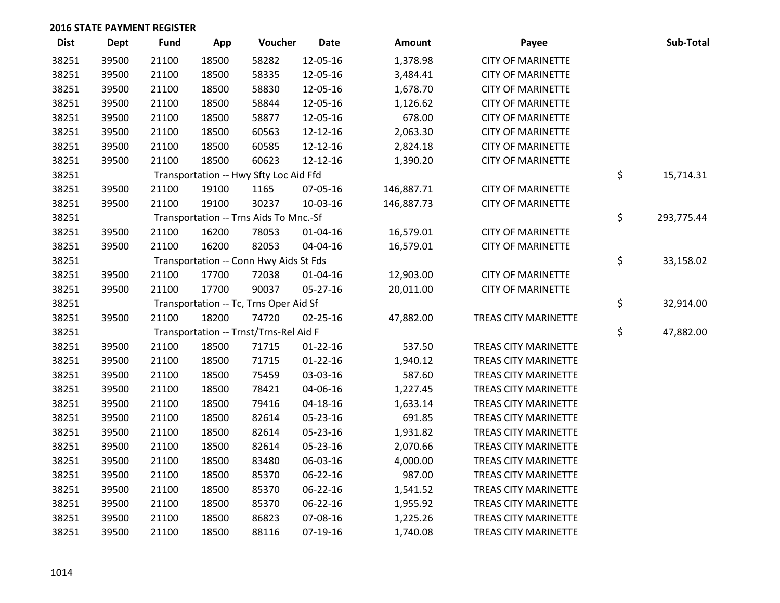| <b>Dist</b> | <b>Dept</b> | <b>Fund</b> | App   | Voucher                                | <b>Date</b>    | Amount     | Payee                       | Sub-Total        |
|-------------|-------------|-------------|-------|----------------------------------------|----------------|------------|-----------------------------|------------------|
| 38251       | 39500       | 21100       | 18500 | 58282                                  | 12-05-16       | 1,378.98   | <b>CITY OF MARINETTE</b>    |                  |
| 38251       | 39500       | 21100       | 18500 | 58335                                  | 12-05-16       | 3,484.41   | <b>CITY OF MARINETTE</b>    |                  |
| 38251       | 39500       | 21100       | 18500 | 58830                                  | 12-05-16       | 1,678.70   | <b>CITY OF MARINETTE</b>    |                  |
| 38251       | 39500       | 21100       | 18500 | 58844                                  | 12-05-16       | 1,126.62   | <b>CITY OF MARINETTE</b>    |                  |
| 38251       | 39500       | 21100       | 18500 | 58877                                  | 12-05-16       | 678.00     | <b>CITY OF MARINETTE</b>    |                  |
| 38251       | 39500       | 21100       | 18500 | 60563                                  | 12-12-16       | 2,063.30   | <b>CITY OF MARINETTE</b>    |                  |
| 38251       | 39500       | 21100       | 18500 | 60585                                  | 12-12-16       | 2,824.18   | <b>CITY OF MARINETTE</b>    |                  |
| 38251       | 39500       | 21100       | 18500 | 60623                                  | 12-12-16       | 1,390.20   | <b>CITY OF MARINETTE</b>    |                  |
| 38251       |             |             |       | Transportation -- Hwy Sfty Loc Aid Ffd |                |            |                             | \$<br>15,714.31  |
| 38251       | 39500       | 21100       | 19100 | 1165                                   | 07-05-16       | 146,887.71 | <b>CITY OF MARINETTE</b>    |                  |
| 38251       | 39500       | 21100       | 19100 | 30237                                  | 10-03-16       | 146,887.73 | <b>CITY OF MARINETTE</b>    |                  |
| 38251       |             |             |       | Transportation -- Trns Aids To Mnc.-Sf |                |            |                             | \$<br>293,775.44 |
| 38251       | 39500       | 21100       | 16200 | 78053                                  | $01 - 04 - 16$ | 16,579.01  | <b>CITY OF MARINETTE</b>    |                  |
| 38251       | 39500       | 21100       | 16200 | 82053                                  | 04-04-16       | 16,579.01  | <b>CITY OF MARINETTE</b>    |                  |
| 38251       |             |             |       | Transportation -- Conn Hwy Aids St Fds |                |            |                             | \$<br>33,158.02  |
| 38251       | 39500       | 21100       | 17700 | 72038                                  | $01 - 04 - 16$ | 12,903.00  | <b>CITY OF MARINETTE</b>    |                  |
| 38251       | 39500       | 21100       | 17700 | 90037                                  | 05-27-16       | 20,011.00  | <b>CITY OF MARINETTE</b>    |                  |
| 38251       |             |             |       | Transportation -- Tc, Trns Oper Aid Sf |                |            |                             | \$<br>32,914.00  |
| 38251       | 39500       | 21100       | 18200 | 74720                                  | 02-25-16       | 47,882.00  | TREAS CITY MARINETTE        |                  |
| 38251       |             |             |       | Transportation -- Trnst/Trns-Rel Aid F |                |            |                             | \$<br>47,882.00  |
| 38251       | 39500       | 21100       | 18500 | 71715                                  | $01 - 22 - 16$ | 537.50     | TREAS CITY MARINETTE        |                  |
| 38251       | 39500       | 21100       | 18500 | 71715                                  | $01 - 22 - 16$ | 1,940.12   | TREAS CITY MARINETTE        |                  |
| 38251       | 39500       | 21100       | 18500 | 75459                                  | 03-03-16       | 587.60     | TREAS CITY MARINETTE        |                  |
| 38251       | 39500       | 21100       | 18500 | 78421                                  | 04-06-16       | 1,227.45   | TREAS CITY MARINETTE        |                  |
| 38251       | 39500       | 21100       | 18500 | 79416                                  | $04 - 18 - 16$ | 1,633.14   | <b>TREAS CITY MARINETTE</b> |                  |
| 38251       | 39500       | 21100       | 18500 | 82614                                  | 05-23-16       | 691.85     | TREAS CITY MARINETTE        |                  |
| 38251       | 39500       | 21100       | 18500 | 82614                                  | 05-23-16       | 1,931.82   | TREAS CITY MARINETTE        |                  |
| 38251       | 39500       | 21100       | 18500 | 82614                                  | 05-23-16       | 2,070.66   | <b>TREAS CITY MARINETTE</b> |                  |
| 38251       | 39500       | 21100       | 18500 | 83480                                  | 06-03-16       | 4,000.00   | TREAS CITY MARINETTE        |                  |
| 38251       | 39500       | 21100       | 18500 | 85370                                  | 06-22-16       | 987.00     | TREAS CITY MARINETTE        |                  |
| 38251       | 39500       | 21100       | 18500 | 85370                                  | 06-22-16       | 1,541.52   | TREAS CITY MARINETTE        |                  |
| 38251       | 39500       | 21100       | 18500 | 85370                                  | 06-22-16       | 1,955.92   | TREAS CITY MARINETTE        |                  |
| 38251       | 39500       | 21100       | 18500 | 86823                                  | 07-08-16       | 1,225.26   | <b>TREAS CITY MARINETTE</b> |                  |
| 38251       | 39500       | 21100       | 18500 | 88116                                  | 07-19-16       | 1,740.08   | <b>TREAS CITY MARINETTE</b> |                  |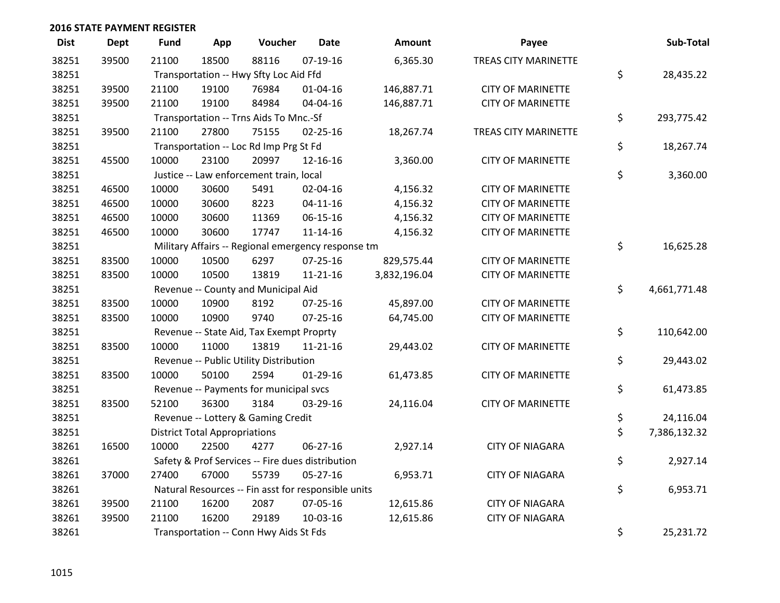| <b>Dist</b> | <b>Dept</b> | <b>Fund</b>                            | App                                    | Voucher                                             | <b>Date</b>    | <b>Amount</b> | Payee                       |    | Sub-Total    |  |
|-------------|-------------|----------------------------------------|----------------------------------------|-----------------------------------------------------|----------------|---------------|-----------------------------|----|--------------|--|
| 38251       | 39500       | 21100                                  | 18500                                  | 88116                                               | $07-19-16$     | 6,365.30      | <b>TREAS CITY MARINETTE</b> |    |              |  |
| 38251       |             | Transportation -- Hwy Sfty Loc Aid Ffd |                                        |                                                     |                |               |                             |    | 28,435.22    |  |
| 38251       | 39500       | 21100                                  | 19100                                  | 76984                                               | $01 - 04 - 16$ | 146,887.71    | <b>CITY OF MARINETTE</b>    |    |              |  |
| 38251       | 39500       | 21100                                  | 19100                                  | 84984                                               | 04-04-16       | 146,887.71    | <b>CITY OF MARINETTE</b>    |    |              |  |
| 38251       |             |                                        | Transportation -- Trns Aids To Mnc.-Sf |                                                     |                |               |                             |    |              |  |
| 38251       | 39500       | 21100                                  | 27800                                  | 75155                                               | $02 - 25 - 16$ | 18,267.74     | <b>TREAS CITY MARINETTE</b> |    |              |  |
| 38251       |             |                                        |                                        | Transportation -- Loc Rd Imp Prg St Fd              |                |               |                             | \$ | 18,267.74    |  |
| 38251       | 45500       | 10000                                  | 23100                                  | 20997                                               | 12-16-16       | 3,360.00      | <b>CITY OF MARINETTE</b>    |    |              |  |
| 38251       |             |                                        |                                        | Justice -- Law enforcement train, local             |                |               |                             | \$ | 3,360.00     |  |
| 38251       | 46500       | 10000                                  | 30600                                  | 5491                                                | 02-04-16       | 4,156.32      | <b>CITY OF MARINETTE</b>    |    |              |  |
| 38251       | 46500       | 10000                                  | 30600                                  | 8223                                                | $04 - 11 - 16$ | 4,156.32      | <b>CITY OF MARINETTE</b>    |    |              |  |
| 38251       | 46500       | 10000                                  | 30600                                  | 11369                                               | 06-15-16       | 4,156.32      | <b>CITY OF MARINETTE</b>    |    |              |  |
| 38251       | 46500       | 10000                                  | 30600                                  | 17747                                               | $11 - 14 - 16$ | 4,156.32      | <b>CITY OF MARINETTE</b>    |    |              |  |
| 38251       |             |                                        |                                        | Military Affairs -- Regional emergency response tm  |                |               |                             | \$ | 16,625.28    |  |
| 38251       | 83500       | 10000                                  | 10500                                  | 6297                                                | $07 - 25 - 16$ | 829,575.44    | <b>CITY OF MARINETTE</b>    |    |              |  |
| 38251       | 83500       | 10000                                  | 10500                                  | 13819                                               | $11 - 21 - 16$ | 3,832,196.04  | <b>CITY OF MARINETTE</b>    |    |              |  |
| 38251       |             |                                        | Revenue -- County and Municipal Aid    |                                                     |                |               |                             |    |              |  |
| 38251       | 83500       | 10000                                  | 10900                                  | 8192                                                | $07 - 25 - 16$ | 45,897.00     | <b>CITY OF MARINETTE</b>    |    |              |  |
| 38251       | 83500       | 10000                                  | 10900                                  | 9740                                                | $07 - 25 - 16$ | 64,745.00     | <b>CITY OF MARINETTE</b>    |    |              |  |
| 38251       |             |                                        |                                        | Revenue -- State Aid, Tax Exempt Proprty            |                |               |                             | \$ | 110,642.00   |  |
| 38251       | 83500       | 10000                                  | 11000                                  | 13819                                               | $11 - 21 - 16$ | 29,443.02     | <b>CITY OF MARINETTE</b>    |    |              |  |
| 38251       |             |                                        | Revenue -- Public Utility Distribution |                                                     |                |               |                             |    | 29,443.02    |  |
| 38251       | 83500       | 10000                                  | 50100                                  | 2594                                                | $01-29-16$     | 61,473.85     | <b>CITY OF MARINETTE</b>    |    |              |  |
| 38251       |             |                                        |                                        | Revenue -- Payments for municipal svcs              |                |               |                             | \$ | 61,473.85    |  |
| 38251       | 83500       | 52100                                  | 36300                                  | 3184                                                | 03-29-16       | 24,116.04     | <b>CITY OF MARINETTE</b>    |    |              |  |
| 38251       |             |                                        |                                        | Revenue -- Lottery & Gaming Credit                  |                |               |                             | \$ | 24,116.04    |  |
| 38251       |             | <b>District Total Appropriations</b>   |                                        |                                                     |                |               |                             |    | 7,386,132.32 |  |
| 38261       | 16500       | 10000                                  | 22500                                  | 4277                                                | 06-27-16       | 2,927.14      | <b>CITY OF NIAGARA</b>      |    |              |  |
| 38261       |             |                                        |                                        | Safety & Prof Services -- Fire dues distribution    |                |               |                             | \$ | 2,927.14     |  |
| 38261       | 37000       | 27400                                  | 67000                                  | 55739                                               | 05-27-16       | 6,953.71      | <b>CITY OF NIAGARA</b>      |    |              |  |
| 38261       |             |                                        |                                        | Natural Resources -- Fin asst for responsible units |                |               |                             | \$ | 6,953.71     |  |
| 38261       | 39500       | 21100                                  | 16200                                  | 2087                                                | 07-05-16       | 12,615.86     | <b>CITY OF NIAGARA</b>      |    |              |  |
| 38261       | 39500       | 21100                                  | 16200                                  | 29189                                               | 10-03-16       | 12,615.86     | <b>CITY OF NIAGARA</b>      |    |              |  |
| 38261       |             | Transportation -- Conn Hwy Aids St Fds |                                        |                                                     |                |               |                             | \$ | 25,231.72    |  |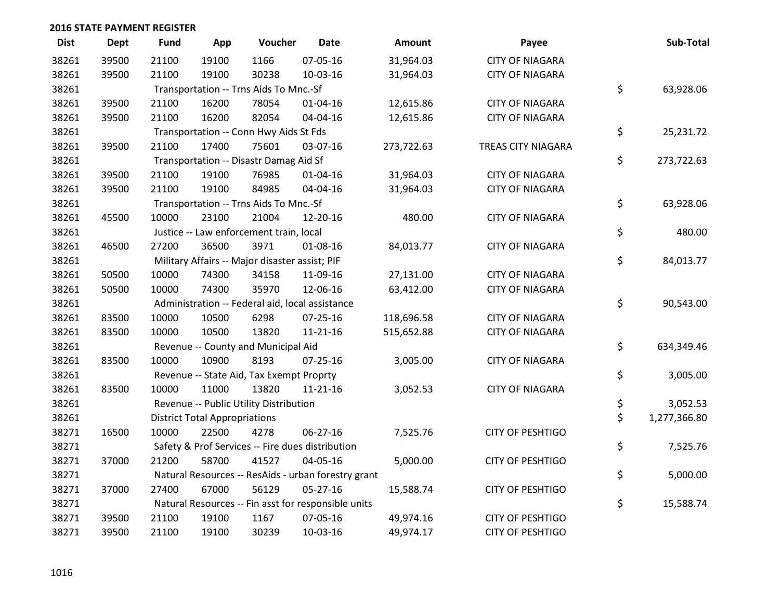| <b>Dist</b> | Dept  | <b>Fund</b>                                     | App                                    | Voucher                                        | <b>Date</b>                                         | Amount     | Payee                   |    | Sub-Total    |
|-------------|-------|-------------------------------------------------|----------------------------------------|------------------------------------------------|-----------------------------------------------------|------------|-------------------------|----|--------------|
| 38261       | 39500 | 21100                                           | 19100                                  | 1166                                           | 07-05-16                                            | 31,964.03  | <b>CITY OF NIAGARA</b>  |    |              |
| 38261       | 39500 | 21100                                           | 19100                                  | 30238                                          | 10-03-16                                            | 31,964.03  | <b>CITY OF NIAGARA</b>  |    |              |
| 38261       |       |                                                 | Transportation -- Trns Aids To Mnc.-Sf | \$                                             | 63,928.06                                           |            |                         |    |              |
| 38261       | 39500 | 21100                                           | 16200                                  | 78054                                          | $01 - 04 - 16$                                      | 12,615.86  | <b>CITY OF NIAGARA</b>  |    |              |
| 38261       | 39500 | 21100                                           | 16200                                  | 82054                                          | 04-04-16                                            | 12,615.86  | <b>CITY OF NIAGARA</b>  |    |              |
| 38261       |       |                                                 |                                        | Transportation -- Conn Hwy Aids St Fds         |                                                     |            |                         | \$ | 25,231.72    |
| 38261       | 39500 | 21100                                           | 17400                                  | 75601                                          | 03-07-16                                            | 273,722.63 | TREAS CITY NIAGARA      |    |              |
| 38261       |       |                                                 |                                        | Transportation -- Disastr Damag Aid Sf         |                                                     |            |                         | \$ | 273,722.63   |
| 38261       | 39500 | 21100                                           | 19100                                  | 76985                                          | 01-04-16                                            | 31,964.03  | <b>CITY OF NIAGARA</b>  |    |              |
| 38261       | 39500 | 21100                                           | 19100                                  | 84985                                          | 04-04-16                                            | 31,964.03  | <b>CITY OF NIAGARA</b>  |    |              |
| 38261       |       |                                                 |                                        | Transportation -- Trns Aids To Mnc.-Sf         |                                                     |            |                         | \$ | 63,928.06    |
| 38261       | 45500 | 10000                                           | 23100                                  | 21004                                          | 12-20-16                                            | 480.00     | <b>CITY OF NIAGARA</b>  |    |              |
| 38261       |       |                                                 |                                        | Justice -- Law enforcement train, local        |                                                     |            |                         | \$ | 480.00       |
| 38261       | 46500 | 27200                                           | 36500                                  | 3971                                           | 01-08-16                                            | 84,013.77  | <b>CITY OF NIAGARA</b>  |    |              |
| 38261       |       |                                                 |                                        | Military Affairs -- Major disaster assist; PIF |                                                     |            |                         | \$ | 84,013.77    |
| 38261       | 50500 | 10000                                           | 74300                                  | 34158                                          | 11-09-16                                            | 27,131.00  | <b>CITY OF NIAGARA</b>  |    |              |
| 38261       | 50500 | 10000                                           | 74300                                  | 35970                                          | 12-06-16                                            | 63,412.00  | <b>CITY OF NIAGARA</b>  |    |              |
| 38261       |       | Administration -- Federal aid, local assistance |                                        |                                                |                                                     |            |                         |    | 90,543.00    |
| 38261       | 83500 | 10000                                           | 10500                                  | 6298                                           | $07 - 25 - 16$                                      | 118,696.58 | <b>CITY OF NIAGARA</b>  |    |              |
| 38261       | 83500 | 10000                                           | 10500                                  | 13820                                          | $11 - 21 - 16$                                      | 515,652.88 | <b>CITY OF NIAGARA</b>  |    |              |
| 38261       |       |                                                 |                                        | Revenue -- County and Municipal Aid            |                                                     |            |                         | \$ | 634,349.46   |
| 38261       | 83500 | 10000                                           | 10900                                  | 8193                                           | $07 - 25 - 16$                                      | 3,005.00   | <b>CITY OF NIAGARA</b>  |    |              |
| 38261       |       |                                                 |                                        | Revenue -- State Aid, Tax Exempt Proprty       |                                                     |            |                         | \$ | 3,005.00     |
| 38261       | 83500 | 10000                                           | 11000                                  | 13820                                          | $11 - 21 - 16$                                      | 3,052.53   | <b>CITY OF NIAGARA</b>  |    |              |
| 38261       |       |                                                 |                                        | Revenue -- Public Utility Distribution         |                                                     |            |                         | \$ | 3,052.53     |
| 38261       |       |                                                 | <b>District Total Appropriations</b>   |                                                |                                                     |            |                         | \$ | 1,277,366.80 |
| 38271       | 16500 | 10000                                           | 22500                                  | 4278                                           | 06-27-16                                            | 7,525.76   | <b>CITY OF PESHTIGO</b> |    |              |
| 38271       |       |                                                 |                                        |                                                | Safety & Prof Services -- Fire dues distribution    |            |                         | \$ | 7,525.76     |
| 38271       | 37000 | 21200                                           | 58700                                  | 41527                                          | 04-05-16                                            | 5,000.00   | <b>CITY OF PESHTIGO</b> |    |              |
| 38271       |       |                                                 |                                        |                                                | Natural Resources -- ResAids - urban forestry grant |            |                         | \$ | 5,000.00     |
| 38271       | 37000 | 27400                                           | 67000                                  | 56129                                          | $05 - 27 - 16$                                      | 15,588.74  | <b>CITY OF PESHTIGO</b> |    |              |
| 38271       |       |                                                 |                                        |                                                | Natural Resources -- Fin asst for responsible units |            |                         | \$ | 15,588.74    |
| 38271       | 39500 | 21100                                           | 19100                                  | 1167                                           | 07-05-16                                            | 49,974.16  | <b>CITY OF PESHTIGO</b> |    |              |
| 38271       | 39500 | 21100                                           | 19100                                  | 30239                                          | 10-03-16                                            | 49,974.17  | <b>CITY OF PESHTIGO</b> |    |              |